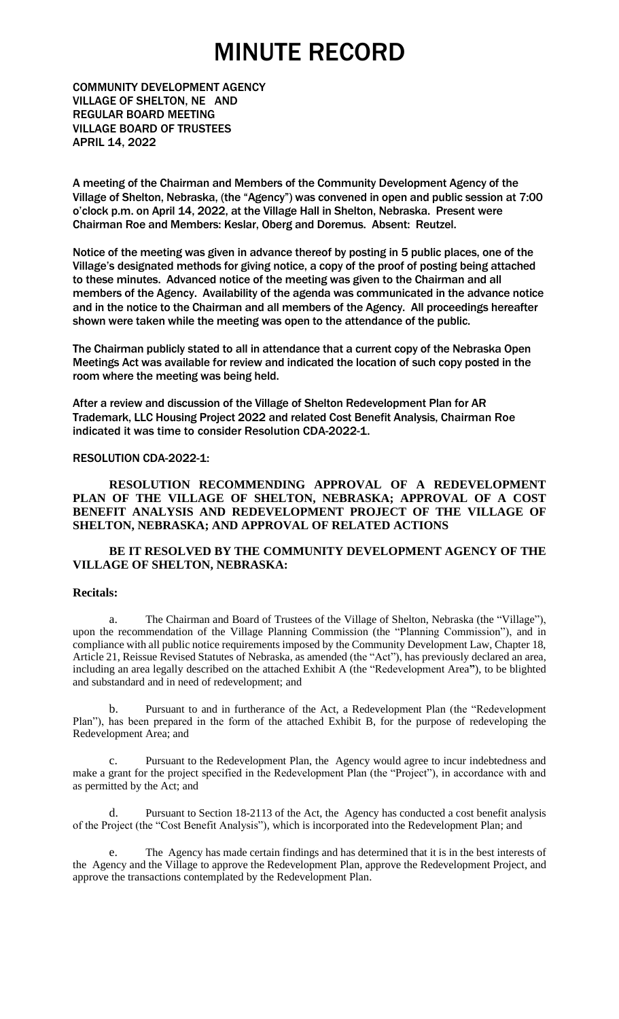COMMUNITY DEVELOPMENT AGENCY VILLAGE OF SHELTON, NE AND REGULAR BOARD MEETING VILLAGE BOARD OF TRUSTEES APRIL 14, 2022

A meeting of the Chairman and Members of the Community Development Agency of the Village of Shelton, Nebraska, (the "Agency") was convened in open and public session at 7:00 o'clock p.m. on April 14, 2022, at the Village Hall in Shelton, Nebraska. Present were Chairman Roe and Members: Keslar, Oberg and Doremus. Absent: Reutzel.

Notice of the meeting was given in advance thereof by posting in 5 public places, one of the Village's designated methods for giving notice, a copy of the proof of posting being attached to these minutes. Advanced notice of the meeting was given to the Chairman and all members of the Agency. Availability of the agenda was communicated in the advance notice and in the notice to the Chairman and all members of the Agency. All proceedings hereafter shown were taken while the meeting was open to the attendance of the public.

The Chairman publicly stated to all in attendance that a current copy of the Nebraska Open Meetings Act was available for review and indicated the location of such copy posted in the room where the meeting was being held.

After a review and discussion of the Village of Shelton Redevelopment Plan for AR Trademark, LLC Housing Project 2022 and related Cost Benefit Analysis, Chairman Roe indicated it was time to consider Resolution CDA-2022-1.

#### RESOLUTION CDA-2022-1:

**RESOLUTION RECOMMENDING APPROVAL OF A REDEVELOPMENT PLAN OF THE VILLAGE OF SHELTON, NEBRASKA; APPROVAL OF A COST BENEFIT ANALYSIS AND REDEVELOPMENT PROJECT OF THE VILLAGE OF SHELTON, NEBRASKA; AND APPROVAL OF RELATED ACTIONS**

#### **BE IT RESOLVED BY THE COMMUNITY DEVELOPMENT AGENCY OF THE VILLAGE OF SHELTON, NEBRASKA:**

#### **Recitals:**

a. The Chairman and Board of Trustees of the Village of Shelton, Nebraska (the "Village"), upon the recommendation of the Village Planning Commission (the "Planning Commission"), and in compliance with all public notice requirements imposed by the Community Development Law, Chapter 18, Article 21, Reissue Revised Statutes of Nebraska, as amended (the "Act"), has previously declared an area, including an area legally described on the attached Exhibit A (the "Redevelopment Area**"**), to be blighted and substandard and in need of redevelopment; and

b. Pursuant to and in furtherance of the Act, a Redevelopment Plan (the "Redevelopment Plan"), has been prepared in the form of the attached Exhibit B, for the purpose of redeveloping the Redevelopment Area; and

c. Pursuant to the Redevelopment Plan, the Agency would agree to incur indebtedness and make a grant for the project specified in the Redevelopment Plan (the "Project"), in accordance with and as permitted by the Act; and

d. Pursuant to Section 18-2113 of the Act, the Agency has conducted a cost benefit analysis of the Project (the "Cost Benefit Analysis"), which is incorporated into the Redevelopment Plan; and

e. The Agency has made certain findings and has determined that it is in the best interests of the Agency and the Village to approve the Redevelopment Plan, approve the Redevelopment Project, and approve the transactions contemplated by the Redevelopment Plan.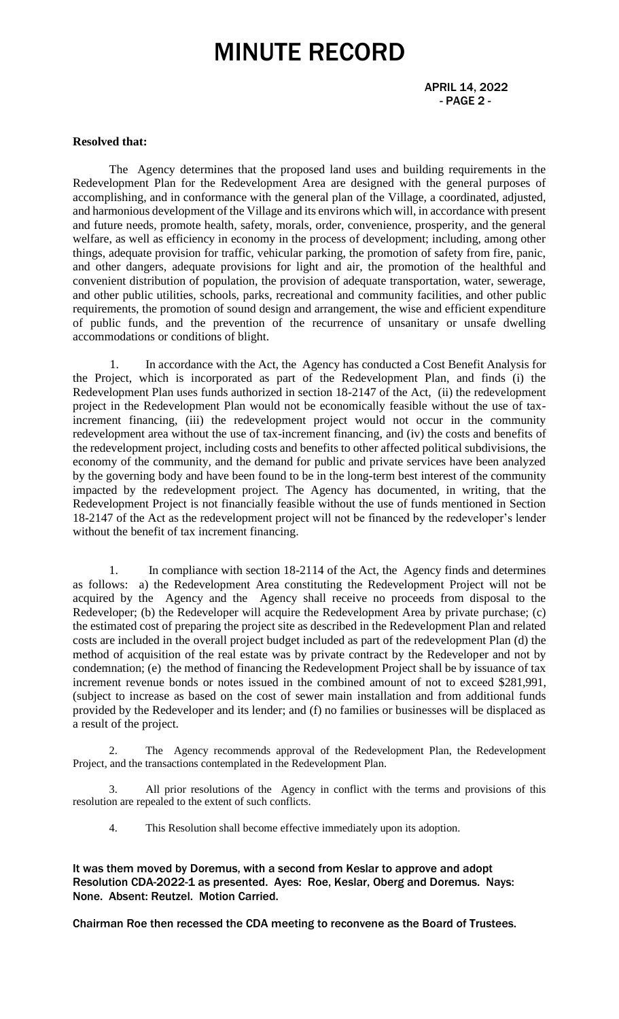#### **Resolved that:**

The Agency determines that the proposed land uses and building requirements in the Redevelopment Plan for the Redevelopment Area are designed with the general purposes of accomplishing, and in conformance with the general plan of the Village, a coordinated, adjusted, and harmonious development of the Village and its environs which will, in accordance with present and future needs, promote health, safety, morals, order, convenience, prosperity, and the general welfare, as well as efficiency in economy in the process of development; including, among other things, adequate provision for traffic, vehicular parking, the promotion of safety from fire, panic, and other dangers, adequate provisions for light and air, the promotion of the healthful and convenient distribution of population, the provision of adequate transportation, water, sewerage, and other public utilities, schools, parks, recreational and community facilities, and other public requirements, the promotion of sound design and arrangement, the wise and efficient expenditure of public funds, and the prevention of the recurrence of unsanitary or unsafe dwelling accommodations or conditions of blight.

1. In accordance with the Act, the Agency has conducted a Cost Benefit Analysis for the Project, which is incorporated as part of the Redevelopment Plan, and finds (i) the Redevelopment Plan uses funds authorized in section 18-2147 of the Act, (ii) the redevelopment project in the Redevelopment Plan would not be economically feasible without the use of taxincrement financing, (iii) the redevelopment project would not occur in the community redevelopment area without the use of tax-increment financing, and (iv) the costs and benefits of the redevelopment project, including costs and benefits to other affected political subdivisions, the economy of the community, and the demand for public and private services have been analyzed by the governing body and have been found to be in the long-term best interest of the community impacted by the redevelopment project. The Agency has documented, in writing, that the Redevelopment Project is not financially feasible without the use of funds mentioned in Section 18-2147 of the Act as the redevelopment project will not be financed by the redeveloper's lender without the benefit of tax increment financing.

1. In compliance with section 18-2114 of the Act, the Agency finds and determines as follows: a) the Redevelopment Area constituting the Redevelopment Project will not be acquired by the Agency and the Agency shall receive no proceeds from disposal to the Redeveloper; (b) the Redeveloper will acquire the Redevelopment Area by private purchase; (c) the estimated cost of preparing the project site as described in the Redevelopment Plan and related costs are included in the overall project budget included as part of the redevelopment Plan (d) the method of acquisition of the real estate was by private contract by the Redeveloper and not by condemnation; (e) the method of financing the Redevelopment Project shall be by issuance of tax increment revenue bonds or notes issued in the combined amount of not to exceed \$281,991, (subject to increase as based on the cost of sewer main installation and from additional funds provided by the Redeveloper and its lender; and (f) no families or businesses will be displaced as a result of the project.

2. The Agency recommends approval of the Redevelopment Plan, the Redevelopment Project, and the transactions contemplated in the Redevelopment Plan.

3. All prior resolutions of the Agency in conflict with the terms and provisions of this resolution are repealed to the extent of such conflicts.

4. This Resolution shall become effective immediately upon its adoption.

It was them moved by Doremus, with a second from Keslar to approve and adopt Resolution CDA-2022-1 as presented. Ayes: Roe, Keslar, Oberg and Doremus. Nays: None. Absent: Reutzel. Motion Carried.

Chairman Roe then recessed the CDA meeting to reconvene as the Board of Trustees.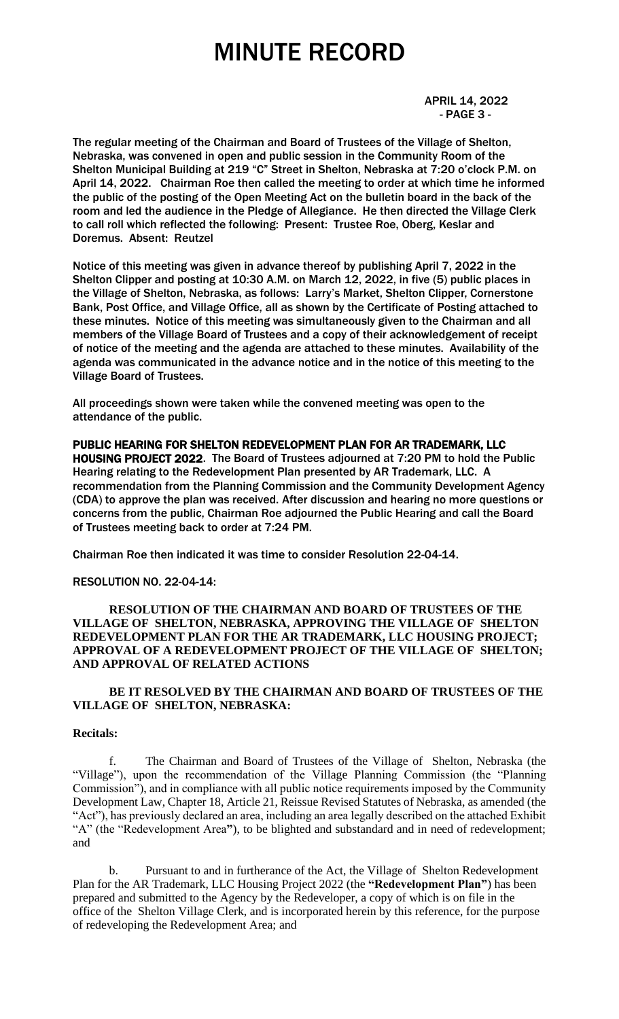#### APRIL 14, 2022 - PAGE 3 -

The regular meeting of the Chairman and Board of Trustees of the Village of Shelton, Nebraska, was convened in open and public session in the Community Room of the Shelton Municipal Building at 219 "C" Street in Shelton, Nebraska at 7:20 o'clock P.M. on April 14, 2022. Chairman Roe then called the meeting to order at which time he informed the public of the posting of the Open Meeting Act on the bulletin board in the back of the room and led the audience in the Pledge of Allegiance. He then directed the Village Clerk to call roll which reflected the following: Present: Trustee Roe, Oberg, Keslar and Doremus. Absent: Reutzel

Notice of this meeting was given in advance thereof by publishing April 7, 2022 in the Shelton Clipper and posting at 10:30 A.M. on March 12, 2022, in five (5) public places in the Village of Shelton, Nebraska, as follows: Larry's Market, Shelton Clipper, Cornerstone Bank, Post Office, and Village Office, all as shown by the Certificate of Posting attached to these minutes. Notice of this meeting was simultaneously given to the Chairman and all members of the Village Board of Trustees and a copy of their acknowledgement of receipt of notice of the meeting and the agenda are attached to these minutes. Availability of the agenda was communicated in the advance notice and in the notice of this meeting to the Village Board of Trustees.

All proceedings shown were taken while the convened meeting was open to the attendance of the public.

PUBLIC HEARING FOR SHELTON REDEVELOPMENT PLAN FOR AR TRADEMARK, LLC HOUSING PROJECT 2022. The Board of Trustees adjourned at 7:20 PM to hold the Public Hearing relating to the Redevelopment Plan presented by AR Trademark, LLC. A recommendation from the Planning Commission and the Community Development Agency (CDA) to approve the plan was received. After discussion and hearing no more questions or concerns from the public, Chairman Roe adjourned the Public Hearing and call the Board of Trustees meeting back to order at 7:24 PM.

Chairman Roe then indicated it was time to consider Resolution 22-04-14.

#### RESOLUTION NO. 22-04-14:

#### **RESOLUTION OF THE CHAIRMAN AND BOARD OF TRUSTEES OF THE VILLAGE OF SHELTON, NEBRASKA, APPROVING THE VILLAGE OF SHELTON REDEVELOPMENT PLAN FOR THE AR TRADEMARK, LLC HOUSING PROJECT; APPROVAL OF A REDEVELOPMENT PROJECT OF THE VILLAGE OF SHELTON; AND APPROVAL OF RELATED ACTIONS**

#### **BE IT RESOLVED BY THE CHAIRMAN AND BOARD OF TRUSTEES OF THE VILLAGE OF SHELTON, NEBRASKA:**

#### **Recitals:**

f. The Chairman and Board of Trustees of the Village of Shelton, Nebraska (the "Village"), upon the recommendation of the Village Planning Commission (the "Planning Commission"), and in compliance with all public notice requirements imposed by the Community Development Law, Chapter 18, Article 21, Reissue Revised Statutes of Nebraska, as amended (the "Act"), has previously declared an area, including an area legally described on the attached Exhibit "A" (the "Redevelopment Area**"**), to be blighted and substandard and in need of redevelopment; and

b. Pursuant to and in furtherance of the Act, the Village of Shelton Redevelopment Plan for the AR Trademark, LLC Housing Project 2022 (the **"Redevelopment Plan"**) has been prepared and submitted to the Agency by the Redeveloper, a copy of which is on file in the office of the Shelton Village Clerk, and is incorporated herein by this reference, for the purpose of redeveloping the Redevelopment Area; and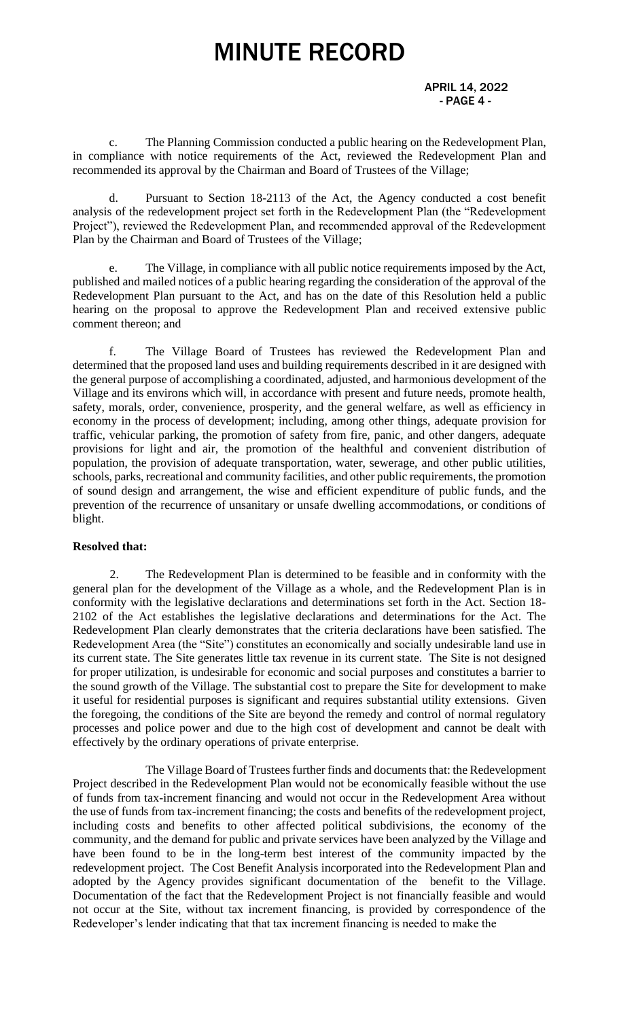APRIL 14, 2022 - PAGE 4 -

c. The Planning Commission conducted a public hearing on the Redevelopment Plan, in compliance with notice requirements of the Act, reviewed the Redevelopment Plan and recommended its approval by the Chairman and Board of Trustees of the Village;

d. Pursuant to Section 18-2113 of the Act, the Agency conducted a cost benefit analysis of the redevelopment project set forth in the Redevelopment Plan (the "Redevelopment Project"), reviewed the Redevelopment Plan, and recommended approval of the Redevelopment Plan by the Chairman and Board of Trustees of the Village;

The Village, in compliance with all public notice requirements imposed by the Act, published and mailed notices of a public hearing regarding the consideration of the approval of the Redevelopment Plan pursuant to the Act, and has on the date of this Resolution held a public hearing on the proposal to approve the Redevelopment Plan and received extensive public comment thereon; and

f. The Village Board of Trustees has reviewed the Redevelopment Plan and determined that the proposed land uses and building requirements described in it are designed with the general purpose of accomplishing a coordinated, adjusted, and harmonious development of the Village and its environs which will, in accordance with present and future needs, promote health, safety, morals, order, convenience, prosperity, and the general welfare, as well as efficiency in economy in the process of development; including, among other things, adequate provision for traffic, vehicular parking, the promotion of safety from fire, panic, and other dangers, adequate provisions for light and air, the promotion of the healthful and convenient distribution of population, the provision of adequate transportation, water, sewerage, and other public utilities, schools, parks, recreational and community facilities, and other public requirements, the promotion of sound design and arrangement, the wise and efficient expenditure of public funds, and the prevention of the recurrence of unsanitary or unsafe dwelling accommodations, or conditions of blight.

#### **Resolved that:**

2. The Redevelopment Plan is determined to be feasible and in conformity with the general plan for the development of the Village as a whole, and the Redevelopment Plan is in conformity with the legislative declarations and determinations set forth in the Act. Section 18- 2102 of the Act establishes the legislative declarations and determinations for the Act. The Redevelopment Plan clearly demonstrates that the criteria declarations have been satisfied. The Redevelopment Area (the "Site") constitutes an economically and socially undesirable land use in its current state. The Site generates little tax revenue in its current state. The Site is not designed for proper utilization, is undesirable for economic and social purposes and constitutes a barrier to the sound growth of the Village. The substantial cost to prepare the Site for development to make it useful for residential purposes is significant and requires substantial utility extensions. Given the foregoing, the conditions of the Site are beyond the remedy and control of normal regulatory processes and police power and due to the high cost of development and cannot be dealt with effectively by the ordinary operations of private enterprise.

The Village Board of Trustees further finds and documents that: the Redevelopment Project described in the Redevelopment Plan would not be economically feasible without the use of funds from tax-increment financing and would not occur in the Redevelopment Area without the use of funds from tax-increment financing; the costs and benefits of the redevelopment project, including costs and benefits to other affected political subdivisions, the economy of the community, and the demand for public and private services have been analyzed by the Village and have been found to be in the long-term best interest of the community impacted by the redevelopment project. The Cost Benefit Analysis incorporated into the Redevelopment Plan and adopted by the Agency provides significant documentation of the benefit to the Village. Documentation of the fact that the Redevelopment Project is not financially feasible and would not occur at the Site, without tax increment financing, is provided by correspondence of the Redeveloper's lender indicating that that tax increment financing is needed to make the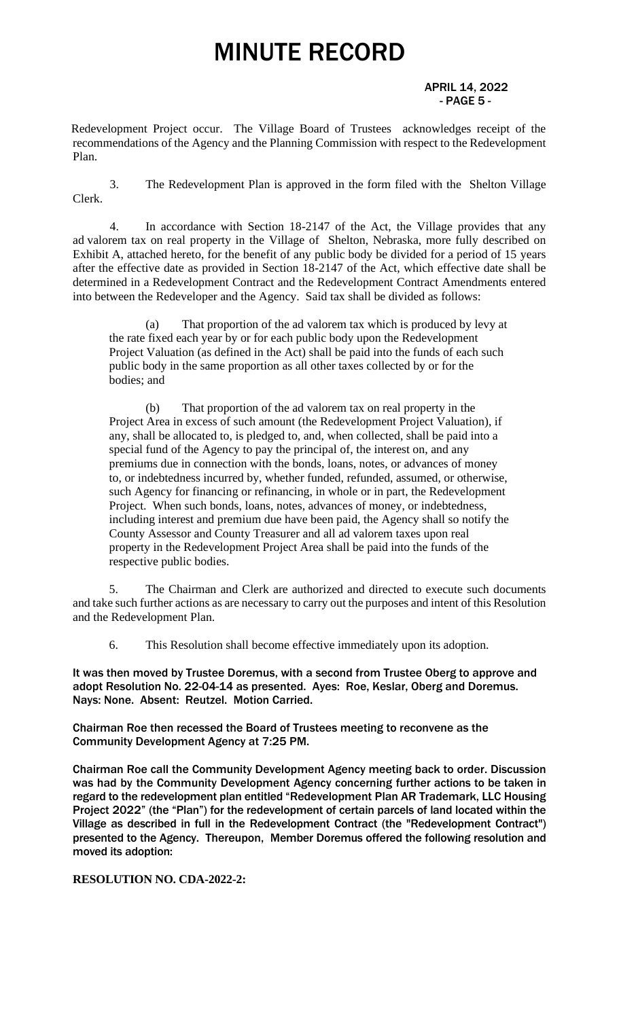#### APRIL 14, 2022  $-$  PAGE 5 -  $-$

Redevelopment Project occur. The Village Board of Trustees acknowledges receipt of the recommendations of the Agency and the Planning Commission with respect to the Redevelopment Plan.

3. The Redevelopment Plan is approved in the form filed with the Shelton Village Clerk.

4. In accordance with Section 18-2147 of the Act, the Village provides that any ad valorem tax on real property in the Village of Shelton, Nebraska, more fully described on Exhibit A, attached hereto, for the benefit of any public body be divided for a period of 15 years after the effective date as provided in Section 18-2147 of the Act, which effective date shall be determined in a Redevelopment Contract and the Redevelopment Contract Amendments entered into between the Redeveloper and the Agency. Said tax shall be divided as follows:

(a) That proportion of the ad valorem tax which is produced by levy at the rate fixed each year by or for each public body upon the Redevelopment Project Valuation (as defined in the Act) shall be paid into the funds of each such public body in the same proportion as all other taxes collected by or for the bodies; and

(b) That proportion of the ad valorem tax on real property in the Project Area in excess of such amount (the Redevelopment Project Valuation), if any, shall be allocated to, is pledged to, and, when collected, shall be paid into a special fund of the Agency to pay the principal of, the interest on, and any premiums due in connection with the bonds, loans, notes, or advances of money to, or indebtedness incurred by, whether funded, refunded, assumed, or otherwise, such Agency for financing or refinancing, in whole or in part, the Redevelopment Project. When such bonds, loans, notes, advances of money, or indebtedness, including interest and premium due have been paid, the Agency shall so notify the County Assessor and County Treasurer and all ad valorem taxes upon real property in the Redevelopment Project Area shall be paid into the funds of the respective public bodies.

5. The Chairman and Clerk are authorized and directed to execute such documents and take such further actions as are necessary to carry out the purposes and intent of this Resolution and the Redevelopment Plan.

6. This Resolution shall become effective immediately upon its adoption.

It was then moved by Trustee Doremus, with a second from Trustee Oberg to approve and adopt Resolution No. 22-04-14 as presented. Ayes: Roe, Keslar, Oberg and Doremus. Nays: None. Absent: Reutzel. Motion Carried.

Chairman Roe then recessed the Board of Trustees meeting to reconvene as the Community Development Agency at 7:25 PM.

Chairman Roe call the Community Development Agency meeting back to order. Discussion was had by the Community Development Agency concerning further actions to be taken in regard to the redevelopment plan entitled "Redevelopment Plan AR Trademark, LLC Housing Project 2022" (the "Plan") for the redevelopment of certain parcels of land located within the Village as described in full in the Redevelopment Contract (the "Redevelopment Contract") presented to the Agency. Thereupon, Member Doremus offered the following resolution and moved its adoption:

#### **RESOLUTION NO. CDA-2022-2:**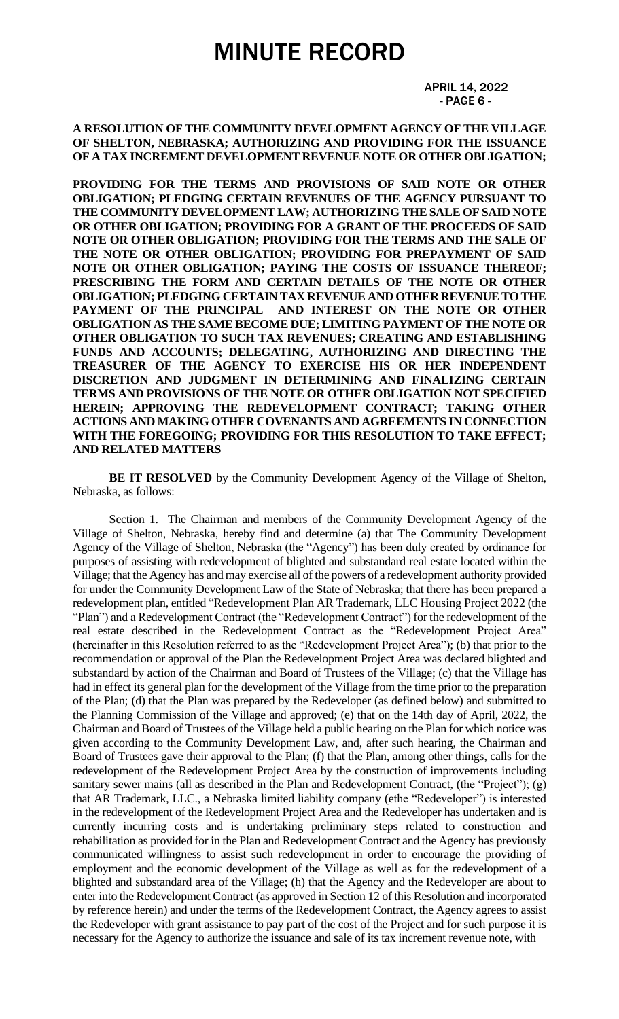#### APRIL 14, 2022  $-$  PAGE 6 -  $-$

**A RESOLUTION OF THE COMMUNITY DEVELOPMENT AGENCY OF THE VILLAGE OF SHELTON, NEBRASKA; AUTHORIZING AND PROVIDING FOR THE ISSUANCE OF A TAX INCREMENT DEVELOPMENT REVENUE NOTE OR OTHER OBLIGATION;** 

**PROVIDING FOR THE TERMS AND PROVISIONS OF SAID NOTE OR OTHER OBLIGATION; PLEDGING CERTAIN REVENUES OF THE AGENCY PURSUANT TO THE COMMUNITY DEVELOPMENT LAW; AUTHORIZING THE SALE OF SAID NOTE OR OTHER OBLIGATION; PROVIDING FOR A GRANT OF THE PROCEEDS OF SAID NOTE OR OTHER OBLIGATION; PROVIDING FOR THE TERMS AND THE SALE OF THE NOTE OR OTHER OBLIGATION; PROVIDING FOR PREPAYMENT OF SAID NOTE OR OTHER OBLIGATION; PAYING THE COSTS OF ISSUANCE THEREOF; PRESCRIBING THE FORM AND CERTAIN DETAILS OF THE NOTE OR OTHER OBLIGATION; PLEDGING CERTAIN TAX REVENUE AND OTHER REVENUE TO THE PAYMENT OF THE PRINCIPAL AND INTEREST ON THE NOTE OR OTHER OBLIGATION AS THE SAME BECOME DUE; LIMITING PAYMENT OF THE NOTE OR OTHER OBLIGATION TO SUCH TAX REVENUES; CREATING AND ESTABLISHING FUNDS AND ACCOUNTS; DELEGATING, AUTHORIZING AND DIRECTING THE TREASURER OF THE AGENCY TO EXERCISE HIS OR HER INDEPENDENT DISCRETION AND JUDGMENT IN DETERMINING AND FINALIZING CERTAIN TERMS AND PROVISIONS OF THE NOTE OR OTHER OBLIGATION NOT SPECIFIED HEREIN; APPROVING THE REDEVELOPMENT CONTRACT; TAKING OTHER ACTIONS AND MAKING OTHER COVENANTS AND AGREEMENTS IN CONNECTION WITH THE FOREGOING; PROVIDING FOR THIS RESOLUTION TO TAKE EFFECT; AND RELATED MATTERS**

**BE IT RESOLVED** by the Community Development Agency of the Village of Shelton, Nebraska, as follows:

Section 1. The Chairman and members of the Community Development Agency of the Village of Shelton, Nebraska, hereby find and determine (a) that The Community Development Agency of the Village of Shelton, Nebraska (the "Agency") has been duly created by ordinance for purposes of assisting with redevelopment of blighted and substandard real estate located within the Village; that the Agency has and may exercise all of the powers of a redevelopment authority provided for under the Community Development Law of the State of Nebraska; that there has been prepared a redevelopment plan, entitled "Redevelopment Plan AR Trademark, LLC Housing Project 2022 (the "Plan") and a Redevelopment Contract (the "Redevelopment Contract") for the redevelopment of the real estate described in the Redevelopment Contract as the "Redevelopment Project Area" (hereinafter in this Resolution referred to as the "Redevelopment Project Area"); (b) that prior to the recommendation or approval of the Plan the Redevelopment Project Area was declared blighted and substandard by action of the Chairman and Board of Trustees of the Village; (c) that the Village has had in effect its general plan for the development of the Village from the time prior to the preparation of the Plan; (d) that the Plan was prepared by the Redeveloper (as defined below) and submitted to the Planning Commission of the Village and approved; (e) that on the 14th day of April, 2022, the Chairman and Board of Trustees of the Village held a public hearing on the Plan for which notice was given according to the Community Development Law, and, after such hearing, the Chairman and Board of Trustees gave their approval to the Plan; (f) that the Plan, among other things, calls for the redevelopment of the Redevelopment Project Area by the construction of improvements including sanitary sewer mains (all as described in the Plan and Redevelopment Contract, (the "Project"); (g) that AR Trademark, LLC., a Nebraska limited liability company (ethe "Redeveloper") is interested in the redevelopment of the Redevelopment Project Area and the Redeveloper has undertaken and is currently incurring costs and is undertaking preliminary steps related to construction and rehabilitation as provided for in the Plan and Redevelopment Contract and the Agency has previously communicated willingness to assist such redevelopment in order to encourage the providing of employment and the economic development of the Village as well as for the redevelopment of a blighted and substandard area of the Village; (h) that the Agency and the Redeveloper are about to enter into the Redevelopment Contract (as approved in Section 12 of this Resolution and incorporated by reference herein) and under the terms of the Redevelopment Contract, the Agency agrees to assist the Redeveloper with grant assistance to pay part of the cost of the Project and for such purpose it is necessary for the Agency to authorize the issuance and sale of its tax increment revenue note, with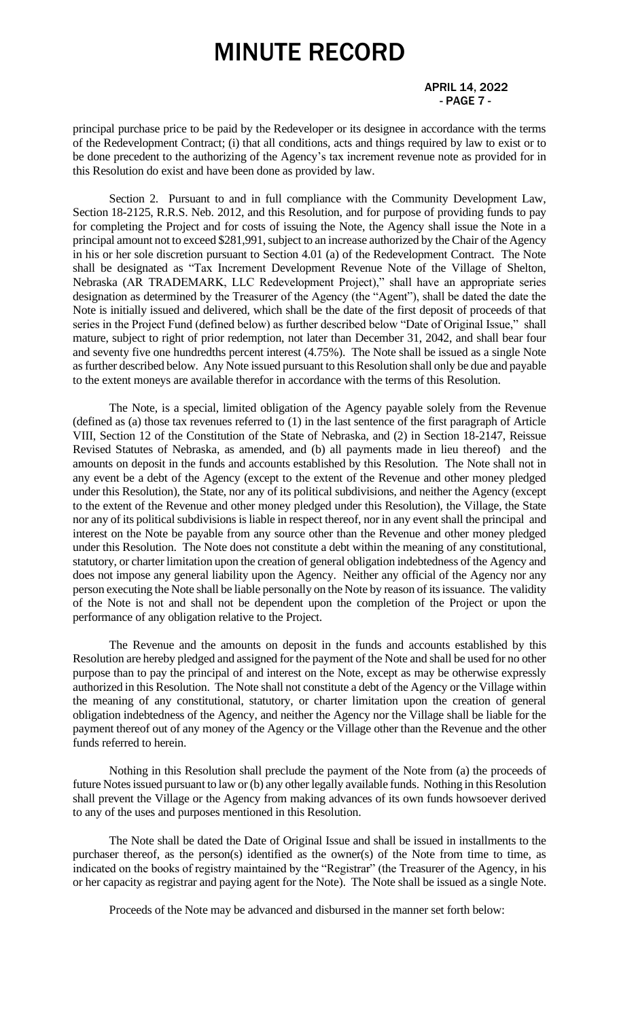APRIL 14, 2022 - PAGE 7 -

principal purchase price to be paid by the Redeveloper or its designee in accordance with the terms of the Redevelopment Contract; (i) that all conditions, acts and things required by law to exist or to be done precedent to the authorizing of the Agency's tax increment revenue note as provided for in this Resolution do exist and have been done as provided by law.

Section 2. Pursuant to and in full compliance with the Community Development Law, Section 18-2125, R.R.S. Neb. 2012, and this Resolution, and for purpose of providing funds to pay for completing the Project and for costs of issuing the Note, the Agency shall issue the Note in a principal amount not to exceed \$281,991, subject to an increase authorized by the Chair of the Agency in his or her sole discretion pursuant to Section 4.01 (a) of the Redevelopment Contract. The Note shall be designated as "Tax Increment Development Revenue Note of the Village of Shelton, Nebraska (AR TRADEMARK, LLC Redevelopment Project)," shall have an appropriate series designation as determined by the Treasurer of the Agency (the "Agent"), shall be dated the date the Note is initially issued and delivered, which shall be the date of the first deposit of proceeds of that series in the Project Fund (defined below) as further described below "Date of Original Issue," shall mature, subject to right of prior redemption, not later than December 31, 2042, and shall bear four and seventy five one hundredths percent interest (4.75%). The Note shall be issued as a single Note as further described below. Any Note issued pursuant to this Resolution shall only be due and payable to the extent moneys are available therefor in accordance with the terms of this Resolution.

The Note, is a special, limited obligation of the Agency payable solely from the Revenue (defined as (a) those tax revenues referred to (1) in the last sentence of the first paragraph of Article VIII, Section 12 of the Constitution of the State of Nebraska, and (2) in Section 18-2147, Reissue Revised Statutes of Nebraska, as amended, and (b) all payments made in lieu thereof) and the amounts on deposit in the funds and accounts established by this Resolution. The Note shall not in any event be a debt of the Agency (except to the extent of the Revenue and other money pledged under this Resolution), the State, nor any of its political subdivisions, and neither the Agency (except to the extent of the Revenue and other money pledged under this Resolution), the Village, the State nor any of its political subdivisions is liable in respect thereof, nor in any event shall the principal and interest on the Note be payable from any source other than the Revenue and other money pledged under this Resolution. The Note does not constitute a debt within the meaning of any constitutional, statutory, or charter limitation upon the creation of general obligation indebtedness of the Agency and does not impose any general liability upon the Agency. Neither any official of the Agency nor any person executing the Note shall be liable personally on the Note by reason of its issuance. The validity of the Note is not and shall not be dependent upon the completion of the Project or upon the performance of any obligation relative to the Project.

The Revenue and the amounts on deposit in the funds and accounts established by this Resolution are hereby pledged and assigned for the payment of the Note and shall be used for no other purpose than to pay the principal of and interest on the Note, except as may be otherwise expressly authorized in this Resolution. The Note shall not constitute a debt of the Agency or the Village within the meaning of any constitutional, statutory, or charter limitation upon the creation of general obligation indebtedness of the Agency, and neither the Agency nor the Village shall be liable for the payment thereof out of any money of the Agency or the Village other than the Revenue and the other funds referred to herein.

Nothing in this Resolution shall preclude the payment of the Note from (a) the proceeds of future Notes issued pursuant to law or (b) any other legally available funds. Nothing in this Resolution shall prevent the Village or the Agency from making advances of its own funds howsoever derived to any of the uses and purposes mentioned in this Resolution.

The Note shall be dated the Date of Original Issue and shall be issued in installments to the purchaser thereof, as the person(s) identified as the owner(s) of the Note from time to time, as indicated on the books of registry maintained by the "Registrar" (the Treasurer of the Agency, in his or her capacity as registrar and paying agent for the Note). The Note shall be issued as a single Note.

Proceeds of the Note may be advanced and disbursed in the manner set forth below: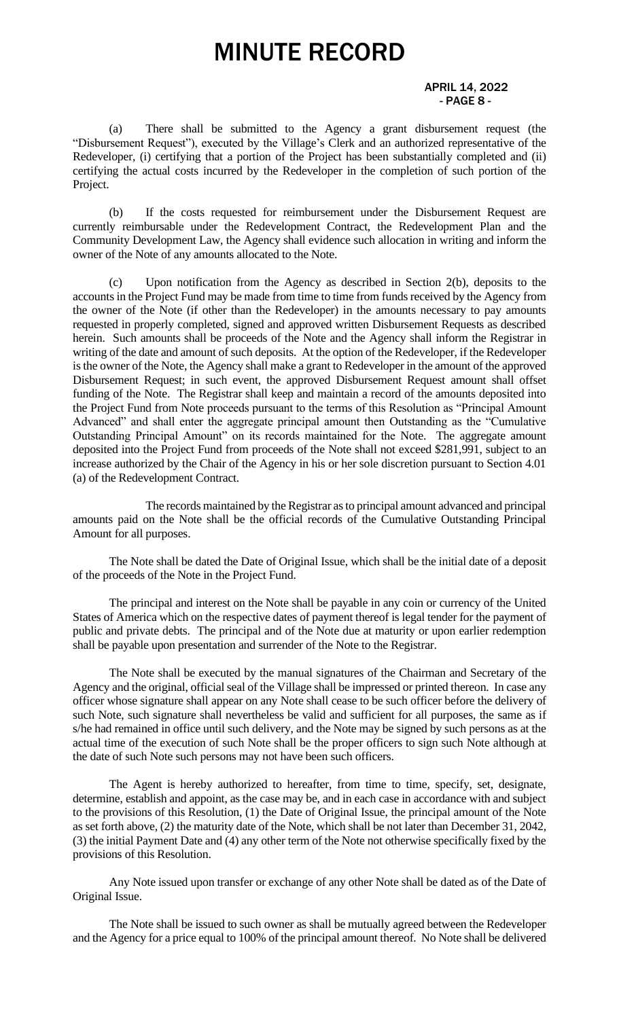#### APRIL 14, 2022 - PAGE 8 -

(a) There shall be submitted to the Agency a grant disbursement request (the "Disbursement Request"), executed by the Village's Clerk and an authorized representative of the Redeveloper, (i) certifying that a portion of the Project has been substantially completed and (ii) certifying the actual costs incurred by the Redeveloper in the completion of such portion of the Project.

(b) If the costs requested for reimbursement under the Disbursement Request are currently reimbursable under the Redevelopment Contract, the Redevelopment Plan and the Community Development Law, the Agency shall evidence such allocation in writing and inform the owner of the Note of any amounts allocated to the Note.

(c) Upon notification from the Agency as described in Section 2(b), deposits to the accounts in the Project Fund may be made from time to time from funds received by the Agency from the owner of the Note (if other than the Redeveloper) in the amounts necessary to pay amounts requested in properly completed, signed and approved written Disbursement Requests as described herein. Such amounts shall be proceeds of the Note and the Agency shall inform the Registrar in writing of the date and amount of such deposits. At the option of the Redeveloper, if the Redeveloper is the owner of the Note, the Agency shall make a grant to Redeveloper in the amount of the approved Disbursement Request; in such event, the approved Disbursement Request amount shall offset funding of the Note. The Registrar shall keep and maintain a record of the amounts deposited into the Project Fund from Note proceeds pursuant to the terms of this Resolution as "Principal Amount Advanced" and shall enter the aggregate principal amount then Outstanding as the "Cumulative Outstanding Principal Amount" on its records maintained for the Note. The aggregate amount deposited into the Project Fund from proceeds of the Note shall not exceed \$281,991, subject to an increase authorized by the Chair of the Agency in his or her sole discretion pursuant to Section 4.01 (a) of the Redevelopment Contract.

The records maintained by the Registrar as to principal amount advanced and principal amounts paid on the Note shall be the official records of the Cumulative Outstanding Principal Amount for all purposes.

The Note shall be dated the Date of Original Issue, which shall be the initial date of a deposit of the proceeds of the Note in the Project Fund.

The principal and interest on the Note shall be payable in any coin or currency of the United States of America which on the respective dates of payment thereof is legal tender for the payment of public and private debts. The principal and of the Note due at maturity or upon earlier redemption shall be payable upon presentation and surrender of the Note to the Registrar.

The Note shall be executed by the manual signatures of the Chairman and Secretary of the Agency and the original, official seal of the Village shall be impressed or printed thereon. In case any officer whose signature shall appear on any Note shall cease to be such officer before the delivery of such Note, such signature shall nevertheless be valid and sufficient for all purposes, the same as if s/he had remained in office until such delivery, and the Note may be signed by such persons as at the actual time of the execution of such Note shall be the proper officers to sign such Note although at the date of such Note such persons may not have been such officers.

The Agent is hereby authorized to hereafter, from time to time, specify, set, designate, determine, establish and appoint, as the case may be, and in each case in accordance with and subject to the provisions of this Resolution, (1) the Date of Original Issue, the principal amount of the Note as set forth above, (2) the maturity date of the Note, which shall be not later than December 31, 2042, (3) the initial Payment Date and (4) any other term of the Note not otherwise specifically fixed by the provisions of this Resolution.

Any Note issued upon transfer or exchange of any other Note shall be dated as of the Date of Original Issue.

The Note shall be issued to such owner as shall be mutually agreed between the Redeveloper and the Agency for a price equal to 100% of the principal amount thereof. No Note shall be delivered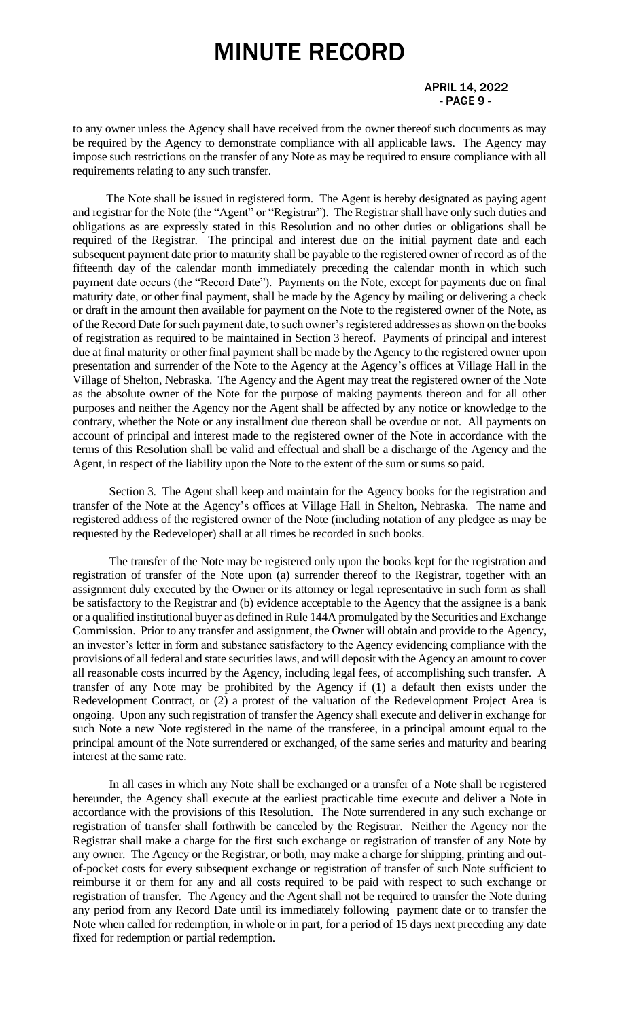APRIL 14, 2022  $-$  PAGE 9 -  $-$ 

to any owner unless the Agency shall have received from the owner thereof such documents as may be required by the Agency to demonstrate compliance with all applicable laws. The Agency may impose such restrictions on the transfer of any Note as may be required to ensure compliance with all requirements relating to any such transfer.

The Note shall be issued in registered form. The Agent is hereby designated as paying agent and registrar for the Note (the "Agent" or "Registrar"). The Registrar shall have only such duties and obligations as are expressly stated in this Resolution and no other duties or obligations shall be required of the Registrar. The principal and interest due on the initial payment date and each subsequent payment date prior to maturity shall be payable to the registered owner of record as of the fifteenth day of the calendar month immediately preceding the calendar month in which such payment date occurs (the "Record Date"). Payments on the Note, except for payments due on final maturity date, or other final payment, shall be made by the Agency by mailing or delivering a check or draft in the amount then available for payment on the Note to the registered owner of the Note, as of the Record Date for such payment date, to such owner's registered addresses as shown on the books of registration as required to be maintained in Section 3 hereof. Payments of principal and interest due at final maturity or other final payment shall be made by the Agency to the registered owner upon presentation and surrender of the Note to the Agency at the Agency's offices at Village Hall in the Village of Shelton, Nebraska. The Agency and the Agent may treat the registered owner of the Note as the absolute owner of the Note for the purpose of making payments thereon and for all other purposes and neither the Agency nor the Agent shall be affected by any notice or knowledge to the contrary, whether the Note or any installment due thereon shall be overdue or not. All payments on account of principal and interest made to the registered owner of the Note in accordance with the terms of this Resolution shall be valid and effectual and shall be a discharge of the Agency and the Agent, in respect of the liability upon the Note to the extent of the sum or sums so paid.

Section 3. The Agent shall keep and maintain for the Agency books for the registration and transfer of the Note at the Agency's offices at Village Hall in Shelton, Nebraska. The name and registered address of the registered owner of the Note (including notation of any pledgee as may be requested by the Redeveloper) shall at all times be recorded in such books.

The transfer of the Note may be registered only upon the books kept for the registration and registration of transfer of the Note upon (a) surrender thereof to the Registrar, together with an assignment duly executed by the Owner or its attorney or legal representative in such form as shall be satisfactory to the Registrar and (b) evidence acceptable to the Agency that the assignee is a bank or a qualified institutional buyer as defined in Rule 144A promulgated by the Securities and Exchange Commission. Prior to any transfer and assignment, the Owner will obtain and provide to the Agency, an investor's letter in form and substance satisfactory to the Agency evidencing compliance with the provisions of all federal and state securities laws, and will deposit with the Agency an amount to cover all reasonable costs incurred by the Agency, including legal fees, of accomplishing such transfer. A transfer of any Note may be prohibited by the Agency if (1) a default then exists under the Redevelopment Contract, or (2) a protest of the valuation of the Redevelopment Project Area is ongoing. Upon any such registration of transfer the Agency shall execute and deliver in exchange for such Note a new Note registered in the name of the transferee, in a principal amount equal to the principal amount of the Note surrendered or exchanged, of the same series and maturity and bearing interest at the same rate.

In all cases in which any Note shall be exchanged or a transfer of a Note shall be registered hereunder, the Agency shall execute at the earliest practicable time execute and deliver a Note in accordance with the provisions of this Resolution. The Note surrendered in any such exchange or registration of transfer shall forthwith be canceled by the Registrar. Neither the Agency nor the Registrar shall make a charge for the first such exchange or registration of transfer of any Note by any owner. The Agency or the Registrar, or both, may make a charge for shipping, printing and outof-pocket costs for every subsequent exchange or registration of transfer of such Note sufficient to reimburse it or them for any and all costs required to be paid with respect to such exchange or registration of transfer. The Agency and the Agent shall not be required to transfer the Note during any period from any Record Date until its immediately following payment date or to transfer the Note when called for redemption, in whole or in part, for a period of 15 days next preceding any date fixed for redemption or partial redemption.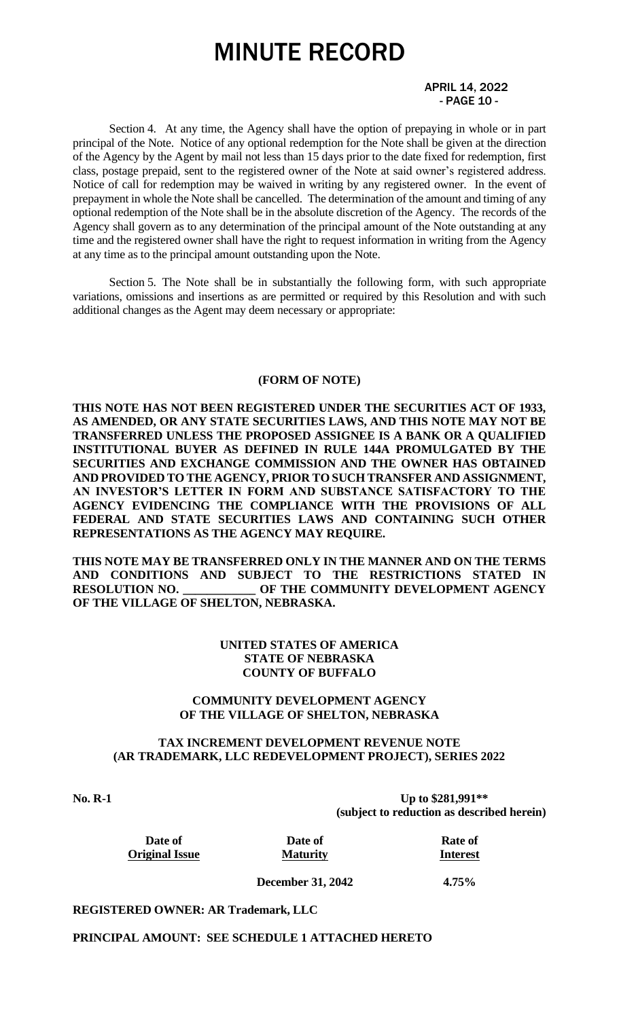#### APRIL 14, 2022 - PAGE 10 -

Section 4. At any time, the Agency shall have the option of prepaying in whole or in part principal of the Note. Notice of any optional redemption for the Note shall be given at the direction of the Agency by the Agent by mail not less than 15 days prior to the date fixed for redemption, first class, postage prepaid, sent to the registered owner of the Note at said owner's registered address. Notice of call for redemption may be waived in writing by any registered owner. In the event of prepayment in whole the Note shall be cancelled. The determination of the amount and timing of any optional redemption of the Note shall be in the absolute discretion of the Agency. The records of the Agency shall govern as to any determination of the principal amount of the Note outstanding at any time and the registered owner shall have the right to request information in writing from the Agency at any time as to the principal amount outstanding upon the Note.

Section 5. The Note shall be in substantially the following form, with such appropriate variations, omissions and insertions as are permitted or required by this Resolution and with such additional changes as the Agent may deem necessary or appropriate:

#### **(FORM OF NOTE)**

**THIS NOTE HAS NOT BEEN REGISTERED UNDER THE SECURITIES ACT OF 1933, AS AMENDED, OR ANY STATE SECURITIES LAWS, AND THIS NOTE MAY NOT BE TRANSFERRED UNLESS THE PROPOSED ASSIGNEE IS A BANK OR A QUALIFIED INSTITUTIONAL BUYER AS DEFINED IN RULE 144A PROMULGATED BY THE SECURITIES AND EXCHANGE COMMISSION AND THE OWNER HAS OBTAINED AND PROVIDED TO THE AGENCY, PRIOR TO SUCH TRANSFER AND ASSIGNMENT, AN INVESTOR'S LETTER IN FORM AND SUBSTANCE SATISFACTORY TO THE AGENCY EVIDENCING THE COMPLIANCE WITH THE PROVISIONS OF ALL FEDERAL AND STATE SECURITIES LAWS AND CONTAINING SUCH OTHER REPRESENTATIONS AS THE AGENCY MAY REQUIRE.** 

**THIS NOTE MAY BE TRANSFERRED ONLY IN THE MANNER AND ON THE TERMS AND CONDITIONS AND SUBJECT TO THE RESTRICTIONS STATED IN RESOLUTION NO. \_\_\_\_\_\_\_\_\_\_\_\_ OF THE COMMUNITY DEVELOPMENT AGENCY OF THE VILLAGE OF SHELTON, NEBRASKA.**

#### **UNITED STATES OF AMERICA STATE OF NEBRASKA COUNTY OF BUFFALO**

#### **COMMUNITY DEVELOPMENT AGENCY OF THE VILLAGE OF SHELTON, NEBRASKA**

#### **TAX INCREMENT DEVELOPMENT REVENUE NOTE (AR TRADEMARK, LLC REDEVELOPMENT PROJECT), SERIES 2022**

**No. R-1 Up to \$281,991\*\* (subject to reduction as described herein)**

| Date of               |  |
|-----------------------|--|
| <b>Original Issue</b> |  |

**Date of Date of Rate of Original Issue Maturity Interest**

**December 31, 2042 4.75%**

**REGISTERED OWNER: AR Trademark, LLC**

**PRINCIPAL AMOUNT: SEE SCHEDULE 1 ATTACHED HERETO**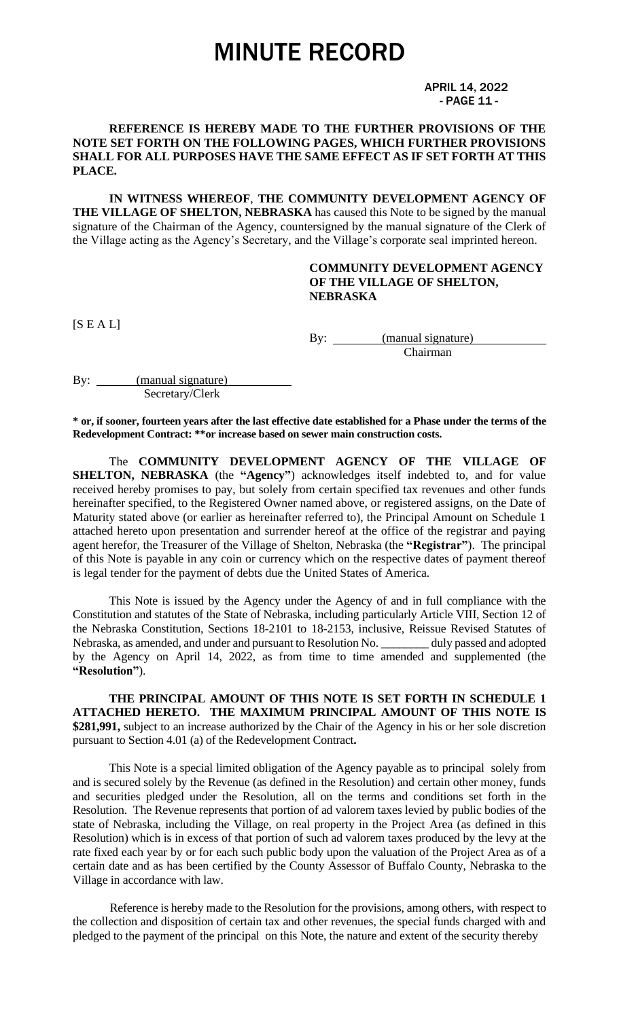APRIL 14, 2022 - PAGE 11 -

#### **REFERENCE IS HEREBY MADE TO THE FURTHER PROVISIONS OF THE NOTE SET FORTH ON THE FOLLOWING PAGES, WHICH FURTHER PROVISIONS SHALL FOR ALL PURPOSES HAVE THE SAME EFFECT AS IF SET FORTH AT THIS PLACE.**

**IN WITNESS WHEREOF**, **THE COMMUNITY DEVELOPMENT AGENCY OF THE VILLAGE OF SHELTON, NEBRASKA** has caused this Note to be signed by the manual signature of the Chairman of the Agency, countersigned by the manual signature of the Clerk of the Village acting as the Agency's Secretary, and the Village's corporate seal imprinted hereon.

#### **COMMUNITY DEVELOPMENT AGENCY OF THE VILLAGE OF SHELTON, NEBRASKA**

 $[S E A L]$ 

By: <u>(manual signature)</u> Chairman

By: (manual signature) Secretary/Clerk

**\* or, if sooner, fourteen years after the last effective date established for a Phase under the terms of the Redevelopment Contract: \*\*or increase based on sewer main construction costs.**

The **COMMUNITY DEVELOPMENT AGENCY OF THE VILLAGE OF SHELTON, NEBRASKA** (the "Agency") acknowledges itself indebted to, and for value received hereby promises to pay, but solely from certain specified tax revenues and other funds hereinafter specified, to the Registered Owner named above, or registered assigns, on the Date of Maturity stated above (or earlier as hereinafter referred to), the Principal Amount on Schedule 1 attached hereto upon presentation and surrender hereof at the office of the registrar and paying agent herefor, the Treasurer of the Village of Shelton, Nebraska (the **"Registrar"**). The principal of this Note is payable in any coin or currency which on the respective dates of payment thereof is legal tender for the payment of debts due the United States of America.

This Note is issued by the Agency under the Agency of and in full compliance with the Constitution and statutes of the State of Nebraska, including particularly Article VIII, Section 12 of the Nebraska Constitution, Sections 18-2101 to 18-2153, inclusive, Reissue Revised Statutes of Nebraska, as amended, and under and pursuant to Resolution No. \_\_\_\_\_\_\_\_ duly passed and adopted by the Agency on April 14, 2022, as from time to time amended and supplemented (the **"Resolution"**).

**THE PRINCIPAL AMOUNT OF THIS NOTE IS SET FORTH IN SCHEDULE 1 ATTACHED HERETO. THE MAXIMUM PRINCIPAL AMOUNT OF THIS NOTE IS \$281,991,** subject to an increase authorized by the Chair of the Agency in his or her sole discretion pursuant to Section 4.01 (a) of the Redevelopment Contract**.**

This Note is a special limited obligation of the Agency payable as to principal solely from and is secured solely by the Revenue (as defined in the Resolution) and certain other money, funds and securities pledged under the Resolution, all on the terms and conditions set forth in the Resolution. The Revenue represents that portion of ad valorem taxes levied by public bodies of the state of Nebraska, including the Village, on real property in the Project Area (as defined in this Resolution) which is in excess of that portion of such ad valorem taxes produced by the levy at the rate fixed each year by or for each such public body upon the valuation of the Project Area as of a certain date and as has been certified by the County Assessor of Buffalo County, Nebraska to the Village in accordance with law.

Reference is hereby made to the Resolution for the provisions, among others, with respect to the collection and disposition of certain tax and other revenues, the special funds charged with and pledged to the payment of the principal on this Note, the nature and extent of the security thereby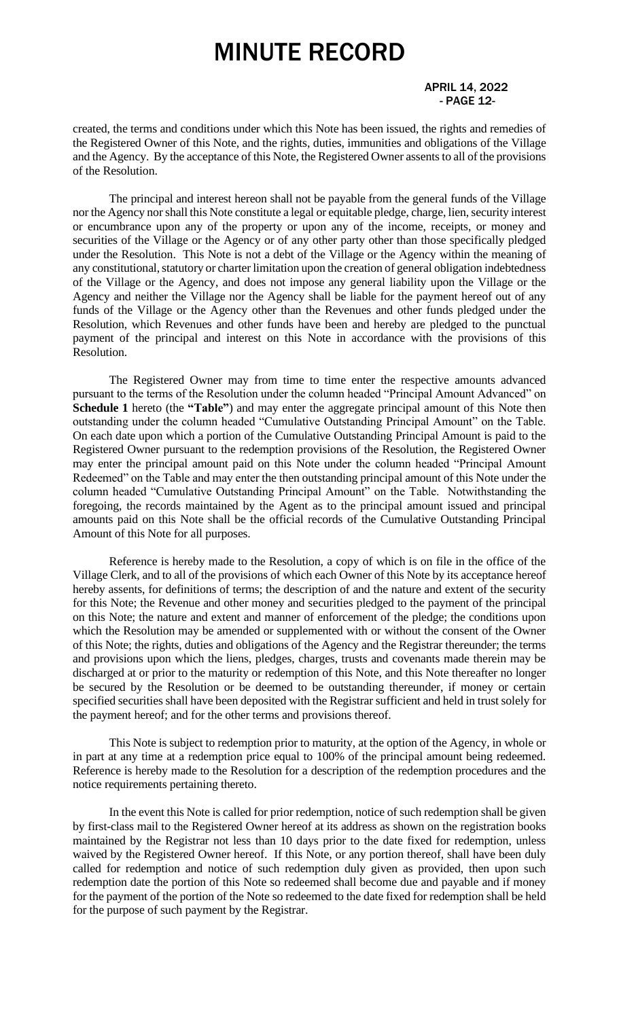#### APRIL 14, 2022 - PAGE 12-

created, the terms and conditions under which this Note has been issued, the rights and remedies of the Registered Owner of this Note, and the rights, duties, immunities and obligations of the Village and the Agency. By the acceptance of this Note, the Registered Owner assents to all of the provisions of the Resolution.

The principal and interest hereon shall not be payable from the general funds of the Village nor the Agency nor shall this Note constitute a legal or equitable pledge, charge, lien, security interest or encumbrance upon any of the property or upon any of the income, receipts, or money and securities of the Village or the Agency or of any other party other than those specifically pledged under the Resolution. This Note is not a debt of the Village or the Agency within the meaning of any constitutional, statutory or charter limitation upon the creation of general obligation indebtedness of the Village or the Agency, and does not impose any general liability upon the Village or the Agency and neither the Village nor the Agency shall be liable for the payment hereof out of any funds of the Village or the Agency other than the Revenues and other funds pledged under the Resolution, which Revenues and other funds have been and hereby are pledged to the punctual payment of the principal and interest on this Note in accordance with the provisions of this Resolution.

The Registered Owner may from time to time enter the respective amounts advanced pursuant to the terms of the Resolution under the column headed "Principal Amount Advanced" on **Schedule 1** hereto (the **"Table"**) and may enter the aggregate principal amount of this Note then outstanding under the column headed "Cumulative Outstanding Principal Amount" on the Table. On each date upon which a portion of the Cumulative Outstanding Principal Amount is paid to the Registered Owner pursuant to the redemption provisions of the Resolution, the Registered Owner may enter the principal amount paid on this Note under the column headed "Principal Amount Redeemed" on the Table and may enter the then outstanding principal amount of this Note under the column headed "Cumulative Outstanding Principal Amount" on the Table. Notwithstanding the foregoing, the records maintained by the Agent as to the principal amount issued and principal amounts paid on this Note shall be the official records of the Cumulative Outstanding Principal Amount of this Note for all purposes.

Reference is hereby made to the Resolution, a copy of which is on file in the office of the Village Clerk, and to all of the provisions of which each Owner of this Note by its acceptance hereof hereby assents, for definitions of terms; the description of and the nature and extent of the security for this Note; the Revenue and other money and securities pledged to the payment of the principal on this Note; the nature and extent and manner of enforcement of the pledge; the conditions upon which the Resolution may be amended or supplemented with or without the consent of the Owner of this Note; the rights, duties and obligations of the Agency and the Registrar thereunder; the terms and provisions upon which the liens, pledges, charges, trusts and covenants made therein may be discharged at or prior to the maturity or redemption of this Note, and this Note thereafter no longer be secured by the Resolution or be deemed to be outstanding thereunder, if money or certain specified securities shall have been deposited with the Registrar sufficient and held in trust solely for the payment hereof; and for the other terms and provisions thereof.

This Note is subject to redemption prior to maturity, at the option of the Agency, in whole or in part at any time at a redemption price equal to 100% of the principal amount being redeemed. Reference is hereby made to the Resolution for a description of the redemption procedures and the notice requirements pertaining thereto.

In the event this Note is called for prior redemption, notice of such redemption shall be given by first-class mail to the Registered Owner hereof at its address as shown on the registration books maintained by the Registrar not less than 10 days prior to the date fixed for redemption, unless waived by the Registered Owner hereof. If this Note, or any portion thereof, shall have been duly called for redemption and notice of such redemption duly given as provided, then upon such redemption date the portion of this Note so redeemed shall become due and payable and if money for the payment of the portion of the Note so redeemed to the date fixed for redemption shall be held for the purpose of such payment by the Registrar.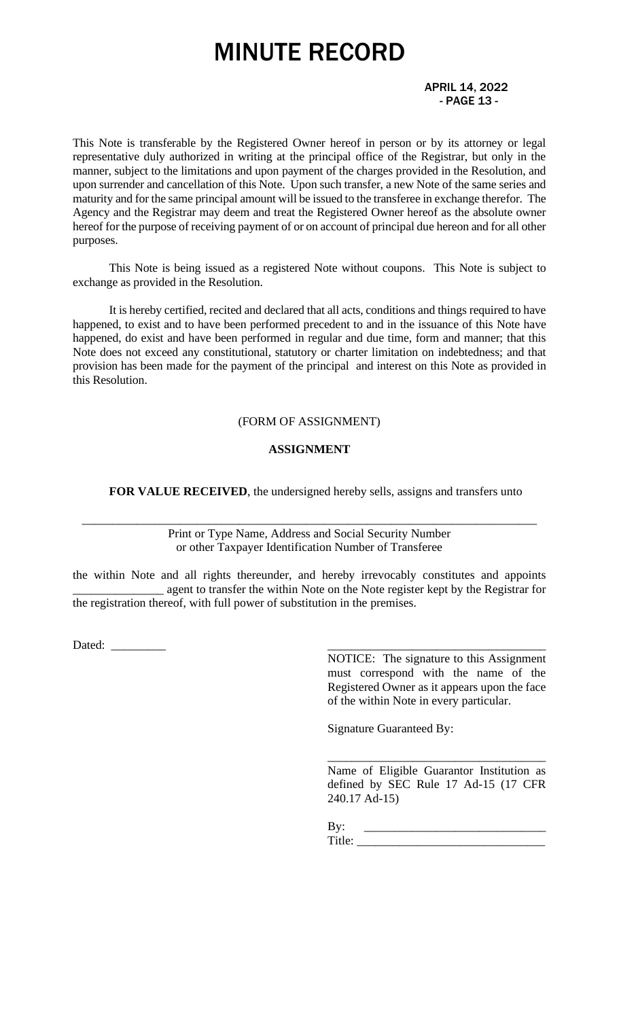#### APRIL 14, 2022 - PAGE 13 -

This Note is transferable by the Registered Owner hereof in person or by its attorney or legal representative duly authorized in writing at the principal office of the Registrar, but only in the manner, subject to the limitations and upon payment of the charges provided in the Resolution, and upon surrender and cancellation of this Note. Upon such transfer, a new Note of the same series and maturity and for the same principal amount will be issued to the transferee in exchange therefor. The Agency and the Registrar may deem and treat the Registered Owner hereof as the absolute owner hereof for the purpose of receiving payment of or on account of principal due hereon and for all other purposes.

This Note is being issued as a registered Note without coupons. This Note is subject to exchange as provided in the Resolution.

It is hereby certified, recited and declared that all acts, conditions and things required to have happened, to exist and to have been performed precedent to and in the issuance of this Note have happened, do exist and have been performed in regular and due time, form and manner; that this Note does not exceed any constitutional, statutory or charter limitation on indebtedness; and that provision has been made for the payment of the principal and interest on this Note as provided in this Resolution.

#### (FORM OF ASSIGNMENT)

#### **ASSIGNMENT**

**FOR VALUE RECEIVED**, the undersigned hereby sells, assigns and transfers unto

Print or Type Name, Address and Social Security Number or other Taxpayer Identification Number of Transferee

\_\_\_\_\_\_\_\_\_\_\_\_\_\_\_\_\_\_\_\_\_\_\_\_\_\_\_\_\_\_\_\_\_\_\_\_\_\_\_\_\_\_\_\_\_\_\_\_\_\_\_\_\_\_\_\_\_\_\_\_\_\_\_\_\_\_\_\_\_\_\_\_\_\_\_

the within Note and all rights thereunder, and hereby irrevocably constitutes and appoints \_\_\_\_\_\_\_\_\_\_\_\_\_\_\_ agent to transfer the within Note on the Note register kept by the Registrar for the registration thereof, with full power of substitution in the premises.

Dated:

NOTICE: The signature to this Assignment must correspond with the name of the Registered Owner as it appears upon the face of the within Note in every particular.

Signature Guaranteed By:

Name of Eligible Guarantor Institution as defined by SEC Rule 17 Ad-15 (17 CFR 240.17 Ad-15)

\_\_\_\_\_\_\_\_\_\_\_\_\_\_\_\_\_\_\_\_\_\_\_\_\_\_\_\_\_\_\_\_\_\_\_\_

 $\mathbf{By:}$ Title: \_\_\_\_\_\_\_\_\_\_\_\_\_\_\_\_\_\_\_\_\_\_\_\_\_\_\_\_\_\_\_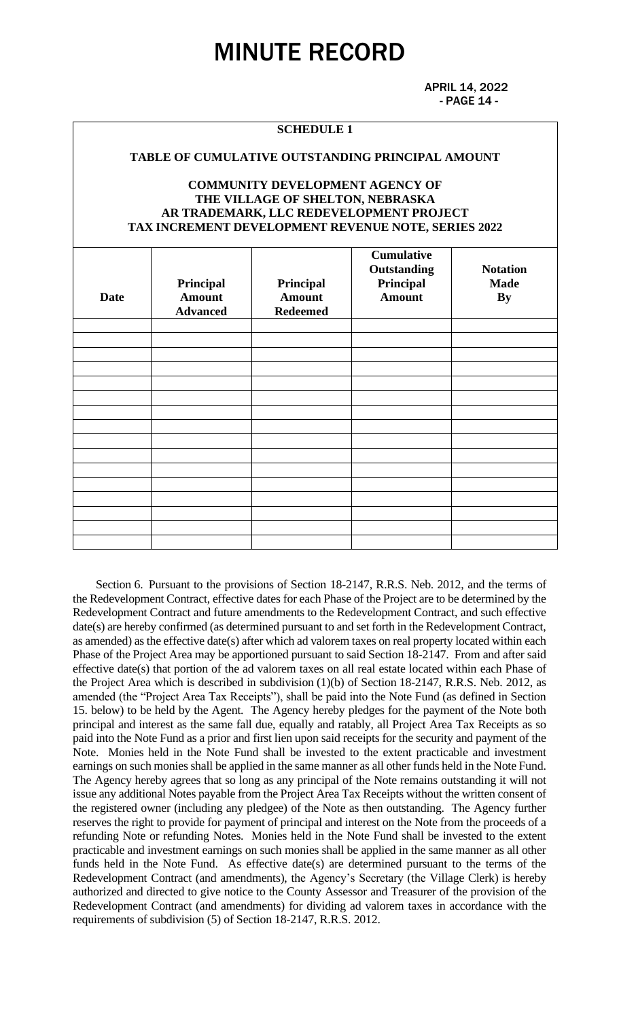APRIL 14, 2022 - PAGE 14 -

#### **SCHEDULE 1**

#### **TABLE OF CUMULATIVE OUTSTANDING PRINCIPAL AMOUNT**

#### **COMMUNITY DEVELOPMENT AGENCY OF THE VILLAGE OF SHELTON, NEBRASKA AR TRADEMARK, LLC REDEVELOPMENT PROJECT TAX INCREMENT DEVELOPMENT REVENUE NOTE, SERIES 2022**

| Date | Principal<br><b>Amount</b><br><b>Advanced</b> | Principal<br><b>Amount</b><br><b>Redeemed</b> | <b>Cumulative</b><br>Outstanding<br>Principal<br><b>Amount</b> | <b>Notation</b><br><b>Made</b><br><b>By</b> |
|------|-----------------------------------------------|-----------------------------------------------|----------------------------------------------------------------|---------------------------------------------|
|      |                                               |                                               |                                                                |                                             |
|      |                                               |                                               |                                                                |                                             |
|      |                                               |                                               |                                                                |                                             |
|      |                                               |                                               |                                                                |                                             |
|      |                                               |                                               |                                                                |                                             |
|      |                                               |                                               |                                                                |                                             |
|      |                                               |                                               |                                                                |                                             |
|      |                                               |                                               |                                                                |                                             |
|      |                                               |                                               |                                                                |                                             |
|      |                                               |                                               |                                                                |                                             |
|      |                                               |                                               |                                                                |                                             |
|      |                                               |                                               |                                                                |                                             |
|      |                                               |                                               |                                                                |                                             |
|      |                                               |                                               |                                                                |                                             |
|      |                                               |                                               |                                                                |                                             |

 Section 6. Pursuant to the provisions of Section 18-2147, R.R.S. Neb. 2012, and the terms of the Redevelopment Contract, effective dates for each Phase of the Project are to be determined by the Redevelopment Contract and future amendments to the Redevelopment Contract, and such effective date(s) are hereby confirmed (as determined pursuant to and set forth in the Redevelopment Contract, as amended) as the effective date(s) after which ad valorem taxes on real property located within each Phase of the Project Area may be apportioned pursuant to said Section 18-2147. From and after said effective date(s) that portion of the ad valorem taxes on all real estate located within each Phase of the Project Area which is described in subdivision (1)(b) of Section 18-2147, R.R.S. Neb. 2012, as amended (the "Project Area Tax Receipts"), shall be paid into the Note Fund (as defined in Section 15. below) to be held by the Agent. The Agency hereby pledges for the payment of the Note both principal and interest as the same fall due, equally and ratably, all Project Area Tax Receipts as so paid into the Note Fund as a prior and first lien upon said receipts for the security and payment of the Note. Monies held in the Note Fund shall be invested to the extent practicable and investment earnings on such monies shall be applied in the same manner as all other funds held in the Note Fund. The Agency hereby agrees that so long as any principal of the Note remains outstanding it will not issue any additional Notes payable from the Project Area Tax Receipts without the written consent of the registered owner (including any pledgee) of the Note as then outstanding. The Agency further reserves the right to provide for payment of principal and interest on the Note from the proceeds of a refunding Note or refunding Notes. Monies held in the Note Fund shall be invested to the extent practicable and investment earnings on such monies shall be applied in the same manner as all other funds held in the Note Fund. As effective date(s) are determined pursuant to the terms of the Redevelopment Contract (and amendments), the Agency's Secretary (the Village Clerk) is hereby authorized and directed to give notice to the County Assessor and Treasurer of the provision of the Redevelopment Contract (and amendments) for dividing ad valorem taxes in accordance with the requirements of subdivision (5) of Section 18-2147, R.R.S. 2012.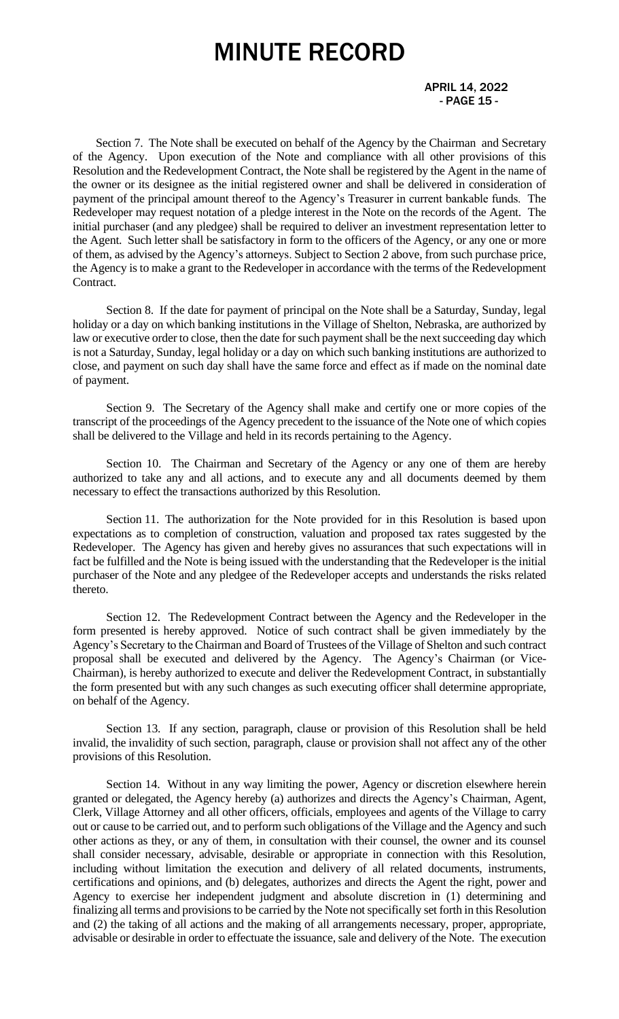#### APRIL 14, 2022 - PAGE 15 -

 Section 7. The Note shall be executed on behalf of the Agency by the Chairman and Secretary of the Agency. Upon execution of the Note and compliance with all other provisions of this Resolution and the Redevelopment Contract, the Note shall be registered by the Agent in the name of the owner or its designee as the initial registered owner and shall be delivered in consideration of payment of the principal amount thereof to the Agency's Treasurer in current bankable funds. The Redeveloper may request notation of a pledge interest in the Note on the records of the Agent. The initial purchaser (and any pledgee) shall be required to deliver an investment representation letter to the Agent. Such letter shall be satisfactory in form to the officers of the Agency, or any one or more of them, as advised by the Agency's attorneys. Subject to Section 2 above, from such purchase price, the Agency is to make a grant to the Redeveloper in accordance with the terms of the Redevelopment Contract.

Section 8. If the date for payment of principal on the Note shall be a Saturday, Sunday, legal holiday or a day on which banking institutions in the Village of Shelton, Nebraska, are authorized by law or executive order to close, then the date for such payment shall be the next succeeding day which is not a Saturday, Sunday, legal holiday or a day on which such banking institutions are authorized to close, and payment on such day shall have the same force and effect as if made on the nominal date of payment.

Section 9. The Secretary of the Agency shall make and certify one or more copies of the transcript of the proceedings of the Agency precedent to the issuance of the Note one of which copies shall be delivered to the Village and held in its records pertaining to the Agency.

Section 10. The Chairman and Secretary of the Agency or any one of them are hereby authorized to take any and all actions, and to execute any and all documents deemed by them necessary to effect the transactions authorized by this Resolution.

Section 11. The authorization for the Note provided for in this Resolution is based upon expectations as to completion of construction, valuation and proposed tax rates suggested by the Redeveloper. The Agency has given and hereby gives no assurances that such expectations will in fact be fulfilled and the Note is being issued with the understanding that the Redeveloper is the initial purchaser of the Note and any pledgee of the Redeveloper accepts and understands the risks related thereto.

Section 12. The Redevelopment Contract between the Agency and the Redeveloper in the form presented is hereby approved. Notice of such contract shall be given immediately by the Agency's Secretary to the Chairman and Board of Trustees of the Village of Shelton and such contract proposal shall be executed and delivered by the Agency. The Agency's Chairman (or Vice-Chairman), is hereby authorized to execute and deliver the Redevelopment Contract, in substantially the form presented but with any such changes as such executing officer shall determine appropriate, on behalf of the Agency.

Section 13. If any section, paragraph, clause or provision of this Resolution shall be held invalid, the invalidity of such section, paragraph, clause or provision shall not affect any of the other provisions of this Resolution.

Section 14. Without in any way limiting the power, Agency or discretion elsewhere herein granted or delegated, the Agency hereby (a) authorizes and directs the Agency's Chairman, Agent, Clerk, Village Attorney and all other officers, officials, employees and agents of the Village to carry out or cause to be carried out, and to perform such obligations of the Village and the Agency and such other actions as they, or any of them, in consultation with their counsel, the owner and its counsel shall consider necessary, advisable, desirable or appropriate in connection with this Resolution, including without limitation the execution and delivery of all related documents, instruments, certifications and opinions, and (b) delegates, authorizes and directs the Agent the right, power and Agency to exercise her independent judgment and absolute discretion in (1) determining and finalizing all terms and provisions to be carried by the Note not specifically set forth in this Resolution and (2) the taking of all actions and the making of all arrangements necessary, proper, appropriate, advisable or desirable in order to effectuate the issuance, sale and delivery of the Note. The execution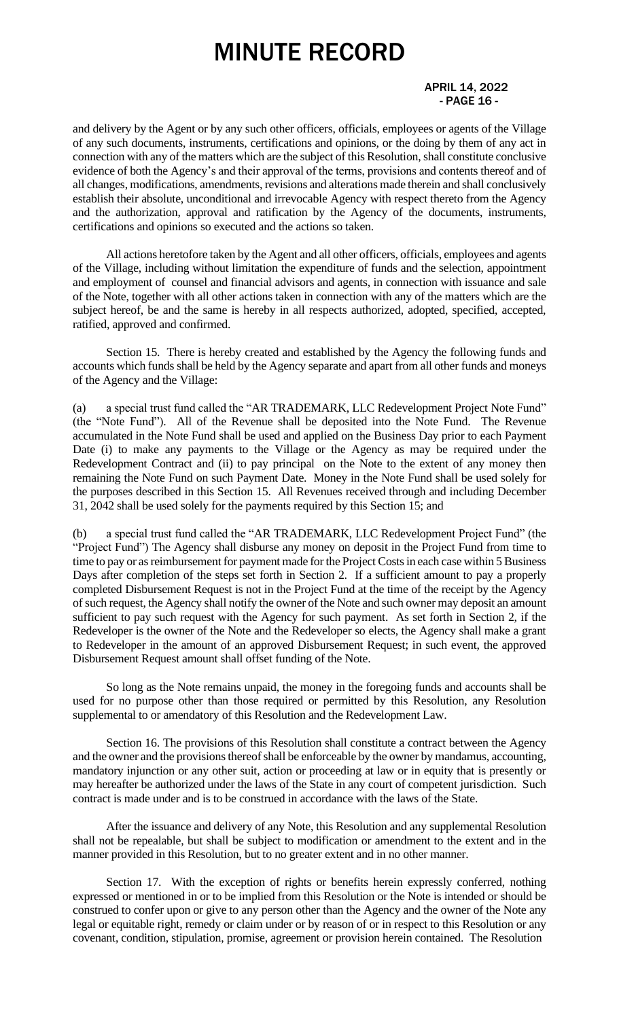#### APRIL 14, 2022 - PAGE 16 -

and delivery by the Agent or by any such other officers, officials, employees or agents of the Village of any such documents, instruments, certifications and opinions, or the doing by them of any act in connection with any of the matters which are the subject of this Resolution, shall constitute conclusive evidence of both the Agency's and their approval of the terms, provisions and contents thereof and of all changes, modifications, amendments, revisions and alterations made therein and shall conclusively establish their absolute, unconditional and irrevocable Agency with respect thereto from the Agency and the authorization, approval and ratification by the Agency of the documents, instruments, certifications and opinions so executed and the actions so taken.

All actions heretofore taken by the Agent and all other officers, officials, employees and agents of the Village, including without limitation the expenditure of funds and the selection, appointment and employment of counsel and financial advisors and agents, in connection with issuance and sale of the Note, together with all other actions taken in connection with any of the matters which are the subject hereof, be and the same is hereby in all respects authorized, adopted, specified, accepted, ratified, approved and confirmed.

Section 15. There is hereby created and established by the Agency the following funds and accounts which funds shall be held by the Agency separate and apart from all other funds and moneys of the Agency and the Village:

(a) a special trust fund called the "AR TRADEMARK, LLC Redevelopment Project Note Fund" (the "Note Fund"). All of the Revenue shall be deposited into the Note Fund. The Revenue accumulated in the Note Fund shall be used and applied on the Business Day prior to each Payment Date (i) to make any payments to the Village or the Agency as may be required under the Redevelopment Contract and (ii) to pay principal on the Note to the extent of any money then remaining the Note Fund on such Payment Date. Money in the Note Fund shall be used solely for the purposes described in this Section 15. All Revenues received through and including December 31, 2042 shall be used solely for the payments required by this Section 15; and

(b) a special trust fund called the "AR TRADEMARK, LLC Redevelopment Project Fund" (the "Project Fund") The Agency shall disburse any money on deposit in the Project Fund from time to time to pay or as reimbursement for payment made for the Project Costs in each case within 5 Business Days after completion of the steps set forth in Section 2. If a sufficient amount to pay a properly completed Disbursement Request is not in the Project Fund at the time of the receipt by the Agency of such request, the Agency shall notify the owner of the Note and such owner may deposit an amount sufficient to pay such request with the Agency for such payment. As set forth in Section 2, if the Redeveloper is the owner of the Note and the Redeveloper so elects, the Agency shall make a grant to Redeveloper in the amount of an approved Disbursement Request; in such event, the approved Disbursement Request amount shall offset funding of the Note.

So long as the Note remains unpaid, the money in the foregoing funds and accounts shall be used for no purpose other than those required or permitted by this Resolution, any Resolution supplemental to or amendatory of this Resolution and the Redevelopment Law.

Section 16. The provisions of this Resolution shall constitute a contract between the Agency and the owner and the provisions thereof shall be enforceable by the owner by mandamus, accounting, mandatory injunction or any other suit, action or proceeding at law or in equity that is presently or may hereafter be authorized under the laws of the State in any court of competent jurisdiction. Such contract is made under and is to be construed in accordance with the laws of the State.

After the issuance and delivery of any Note, this Resolution and any supplemental Resolution shall not be repealable, but shall be subject to modification or amendment to the extent and in the manner provided in this Resolution, but to no greater extent and in no other manner.

Section 17. With the exception of rights or benefits herein expressly conferred, nothing expressed or mentioned in or to be implied from this Resolution or the Note is intended or should be construed to confer upon or give to any person other than the Agency and the owner of the Note any legal or equitable right, remedy or claim under or by reason of or in respect to this Resolution or any covenant, condition, stipulation, promise, agreement or provision herein contained. The Resolution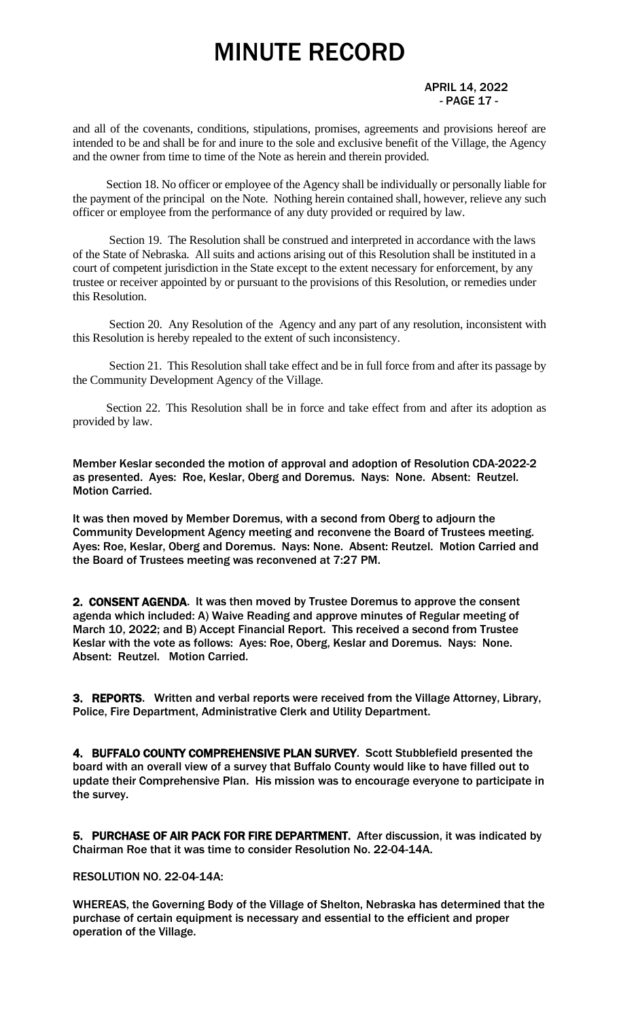APRIL 14, 2022 - PAGE 17 -

and all of the covenants, conditions, stipulations, promises, agreements and provisions hereof are intended to be and shall be for and inure to the sole and exclusive benefit of the Village, the Agency and the owner from time to time of the Note as herein and therein provided.

Section 18. No officer or employee of the Agency shall be individually or personally liable for the payment of the principal on the Note. Nothing herein contained shall, however, relieve any such officer or employee from the performance of any duty provided or required by law.

Section 19. The Resolution shall be construed and interpreted in accordance with the laws of the State of Nebraska. All suits and actions arising out of this Resolution shall be instituted in a court of competent jurisdiction in the State except to the extent necessary for enforcement, by any trustee or receiver appointed by or pursuant to the provisions of this Resolution, or remedies under this Resolution.

Section 20. Any Resolution of the Agency and any part of any resolution, inconsistent with this Resolution is hereby repealed to the extent of such inconsistency.

Section 21. This Resolution shall take effect and be in full force from and after its passage by the Community Development Agency of the Village.

Section 22. This Resolution shall be in force and take effect from and after its adoption as provided by law.

Member Keslar seconded the motion of approval and adoption of Resolution CDA-2022-2 as presented. Ayes: Roe, Keslar, Oberg and Doremus. Nays: None. Absent: Reutzel. Motion Carried.

It was then moved by Member Doremus, with a second from Oberg to adjourn the Community Development Agency meeting and reconvene the Board of Trustees meeting. Ayes: Roe, Keslar, Oberg and Doremus. Nays: None. Absent: Reutzel. Motion Carried and the Board of Trustees meeting was reconvened at 7:27 PM.

2. CONSENT AGENDA. It was then moved by Trustee Doremus to approve the consent agenda which included: A) Waive Reading and approve minutes of Regular meeting of March 10, 2022; and B) Accept Financial Report. This received a second from Trustee Keslar with the vote as follows: Ayes: Roe, Oberg, Keslar and Doremus. Nays: None. Absent: Reutzel. Motion Carried.

3. REPORTS. Written and verbal reports were received from the Village Attorney, Library, Police, Fire Department, Administrative Clerk and Utility Department.

4. BUFFALO COUNTY COMPREHENSIVE PLAN SURVEY. Scott Stubblefield presented the board with an overall view of a survey that Buffalo County would like to have filled out to update their Comprehensive Plan. His mission was to encourage everyone to participate in the survey.

5. PURCHASE OF AIR PACK FOR FIRE DEPARTMENT. After discussion, it was indicated by Chairman Roe that it was time to consider Resolution No. 22-04-14A.

RESOLUTION NO. 22-04-14A:

WHEREAS, the Governing Body of the Village of Shelton, Nebraska has determined that the purchase of certain equipment is necessary and essential to the efficient and proper operation of the Village.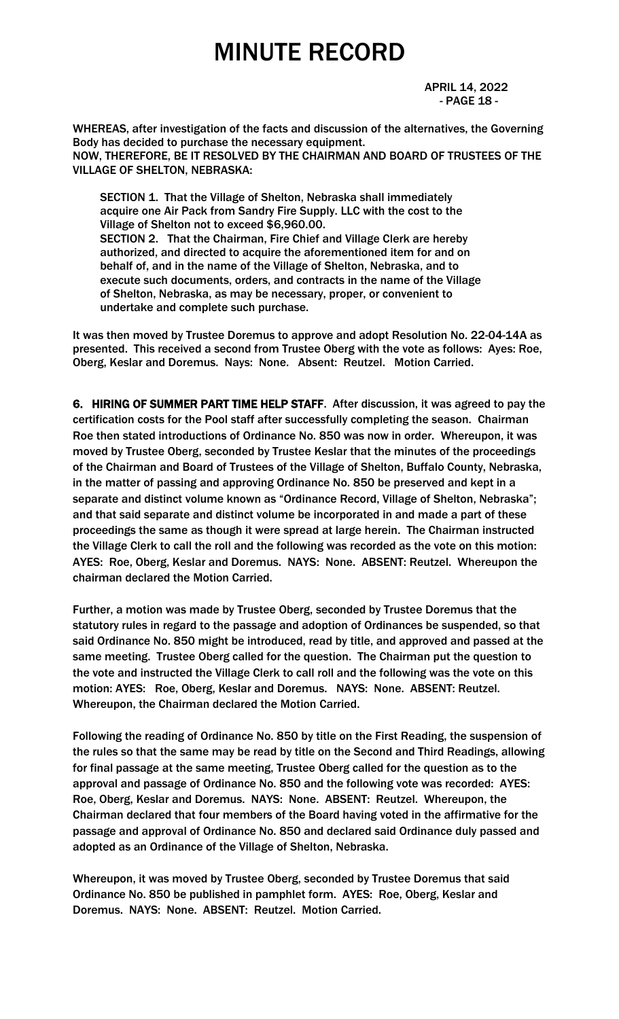APRIL 14, 2022 - PAGE 18 -

WHEREAS, after investigation of the facts and discussion of the alternatives, the Governing Body has decided to purchase the necessary equipment. NOW, THEREFORE, BE IT RESOLVED BY THE CHAIRMAN AND BOARD OF TRUSTEES OF THE VILLAGE OF SHELTON, NEBRASKA:

 SECTION 1. That the Village of Shelton, Nebraska shall immediately acquire one Air Pack from Sandry Fire Supply. LLC with the cost to the Village of Shelton not to exceed \$6,960.00. SECTION 2. That the Chairman, Fire Chief and Village Clerk are hereby authorized, and directed to acquire the aforementioned item for and on behalf of, and in the name of the Village of Shelton, Nebraska, and to execute such documents, orders, and contracts in the name of the Village of Shelton, Nebraska, as may be necessary, proper, or convenient to undertake and complete such purchase.

It was then moved by Trustee Doremus to approve and adopt Resolution No. 22-04-14A as presented. This received a second from Trustee Oberg with the vote as follows: Ayes: Roe, Oberg, Keslar and Doremus. Nays: None. Absent: Reutzel. Motion Carried.

6. HIRING OF SUMMER PART TIME HELP STAFF. After discussion, it was agreed to pay the certification costs for the Pool staff after successfully completing the season. Chairman Roe then stated introductions of Ordinance No. 850 was now in order. Whereupon, it was moved by Trustee Oberg, seconded by Trustee Keslar that the minutes of the proceedings of the Chairman and Board of Trustees of the Village of Shelton, Buffalo County, Nebraska, in the matter of passing and approving Ordinance No. 850 be preserved and kept in a separate and distinct volume known as "Ordinance Record, Village of Shelton, Nebraska"; and that said separate and distinct volume be incorporated in and made a part of these proceedings the same as though it were spread at large herein. The Chairman instructed the Village Clerk to call the roll and the following was recorded as the vote on this motion: AYES: Roe, Oberg, Keslar and Doremus. NAYS: None. ABSENT: Reutzel. Whereupon the chairman declared the Motion Carried.

Further, a motion was made by Trustee Oberg, seconded by Trustee Doremus that the statutory rules in regard to the passage and adoption of Ordinances be suspended, so that said Ordinance No. 850 might be introduced, read by title, and approved and passed at the same meeting. Trustee Oberg called for the question. The Chairman put the question to the vote and instructed the Village Clerk to call roll and the following was the vote on this motion: AYES: Roe, Oberg, Keslar and Doremus. NAYS: None. ABSENT: Reutzel. Whereupon, the Chairman declared the Motion Carried.

Following the reading of Ordinance No. 850 by title on the First Reading, the suspension of the rules so that the same may be read by title on the Second and Third Readings, allowing for final passage at the same meeting, Trustee Oberg called for the question as to the approval and passage of Ordinance No. 850 and the following vote was recorded: AYES: Roe, Oberg, Keslar and Doremus. NAYS: None. ABSENT: Reutzel. Whereupon, the Chairman declared that four members of the Board having voted in the affirmative for the passage and approval of Ordinance No. 850 and declared said Ordinance duly passed and adopted as an Ordinance of the Village of Shelton, Nebraska.

Whereupon, it was moved by Trustee Oberg, seconded by Trustee Doremus that said Ordinance No. 850 be published in pamphlet form. AYES: Roe, Oberg, Keslar and Doremus. NAYS: None. ABSENT: Reutzel. Motion Carried.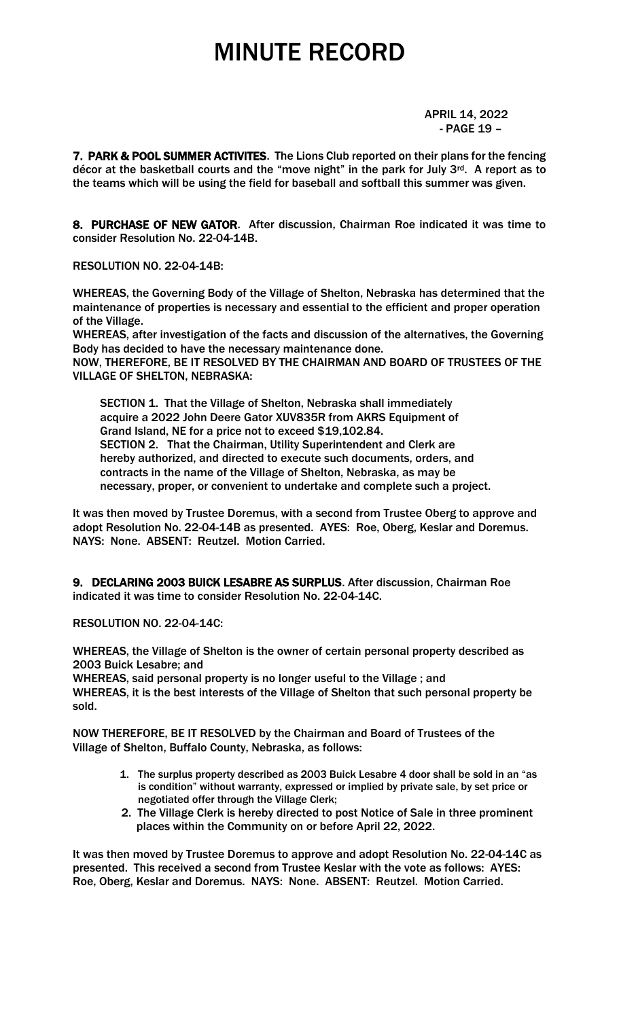APRIL 14, 2022 - PAGE 19 –

7. PARK & POOL SUMMER ACTIVITES. The Lions Club reported on their plans for the fencing décor at the basketball courts and the "move night" in the park for July  $3^{rd}$ . A report as to the teams which will be using the field for baseball and softball this summer was given.

8. PURCHASE OF NEW GATOR. After discussion, Chairman Roe indicated it was time to consider Resolution No. 22-04-14B.

RESOLUTION NO. 22-04-14B:

WHEREAS, the Governing Body of the Village of Shelton, Nebraska has determined that the maintenance of properties is necessary and essential to the efficient and proper operation of the Village.

WHEREAS, after investigation of the facts and discussion of the alternatives, the Governing Body has decided to have the necessary maintenance done.

NOW, THEREFORE, BE IT RESOLVED BY THE CHAIRMAN AND BOARD OF TRUSTEES OF THE VILLAGE OF SHELTON, NEBRASKA:

 SECTION 1. That the Village of Shelton, Nebraska shall immediately acquire a 2022 John Deere Gator XUV835R from AKRS Equipment of Grand Island, NE for a price not to exceed \$19,102.84. SECTION 2. That the Chairman, Utility Superintendent and Clerk are hereby authorized, and directed to execute such documents, orders, and contracts in the name of the Village of Shelton, Nebraska, as may be necessary, proper, or convenient to undertake and complete such a project.

It was then moved by Trustee Doremus, with a second from Trustee Oberg to approve and adopt Resolution No. 22-04-14B as presented. AYES: Roe, Oberg, Keslar and Doremus. NAYS: None. ABSENT: Reutzel. Motion Carried.

9. DECLARING 2003 BUICK LESABRE AS SURPLUS. After discussion, Chairman Roe indicated it was time to consider Resolution No. 22-04-14C.

RESOLUTION NO. 22-04-14C:

WHEREAS, the Village of Shelton is the owner of certain personal property described as 2003 Buick Lesabre; and

WHEREAS, said personal property is no longer useful to the Village ; and WHEREAS, it is the best interests of the Village of Shelton that such personal property be sold.

NOW THEREFORE, BE IT RESOLVED by the Chairman and Board of Trustees of the Village of Shelton, Buffalo County, Nebraska, as follows:

- 1. The surplus property described as 2003 Buick Lesabre 4 door shall be sold in an "as is condition" without warranty, expressed or implied by private sale, by set price or negotiated offer through the Village Clerk;
- 2. The Village Clerk is hereby directed to post Notice of Sale in three prominent places within the Community on or before April 22, 2022.

It was then moved by Trustee Doremus to approve and adopt Resolution No. 22-04-14C as presented. This received a second from Trustee Keslar with the vote as follows: AYES: Roe, Oberg, Keslar and Doremus. NAYS: None. ABSENT: Reutzel. Motion Carried.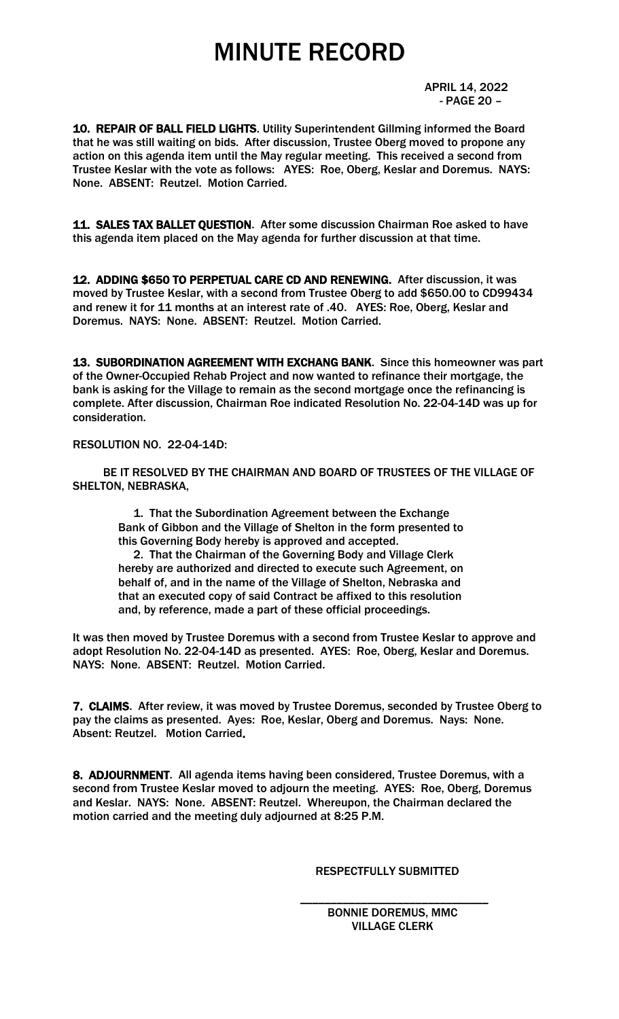APRIL 14, 2022 - PAGE 20 –

10. REPAIR OF BALL FIELD LIGHTS. Utility Superintendent Gillming informed the Board that he was still waiting on bids. After discussion, Trustee Oberg moved to propone any action on this agenda item until the May regular meeting. This received a second from Trustee Keslar with the vote as follows: AYES: Roe, Oberg, Keslar and Doremus. NAYS: None. ABSENT: Reutzel. Motion Carried.

11. SALES TAX BALLET QUESTION. After some discussion Chairman Roe asked to have this agenda item placed on the May agenda for further discussion at that time.

12. ADDING \$650 TO PERPETUAL CARE CD AND RENEWING. After discussion, it was moved by Trustee Keslar, with a second from Trustee Oberg to add \$650.00 to CD99434 and renew it for 11 months at an interest rate of .40. AYES: Roe, Oberg, Keslar and Doremus. NAYS: None. ABSENT: Reutzel. Motion Carried.

13. SUBORDINATION AGREEMENT WITH EXCHANG BANK. Since this homeowner was part of the Owner-Occupied Rehab Project and now wanted to refinance their mortgage, the bank is asking for the Village to remain as the second mortgage once the refinancing is complete. After discussion, Chairman Roe indicated Resolution No. 22-04-14D was up for consideration.

#### RESOLUTION NO. 22-04-14D:

 BE IT RESOLVED BY THE CHAIRMAN AND BOARD OF TRUSTEES OF THE VILLAGE OF SHELTON, NEBRASKA,

 1. That the Subordination Agreement between the Exchange Bank of Gibbon and the Village of Shelton in the form presented to this Governing Body hereby is approved and accepted.

 2. That the Chairman of the Governing Body and Village Clerk hereby are authorized and directed to execute such Agreement, on behalf of, and in the name of the Village of Shelton, Nebraska and that an executed copy of said Contract be affixed to this resolution and, by reference, made a part of these official proceedings.

It was then moved by Trustee Doremus with a second from Trustee Keslar to approve and adopt Resolution No. 22-04-14D as presented. AYES: Roe, Oberg, Keslar and Doremus. NAYS: None. ABSENT: Reutzel. Motion Carried.

7. CLAIMS. After review, it was moved by Trustee Doremus, seconded by Trustee Oberg to pay the claims as presented. Ayes: Roe, Keslar, Oberg and Doremus. Nays: None. Absent: Reutzel. Motion Carried.

8. ADJOURNMENT. All agenda items having been considered, Trustee Doremus, with a second from Trustee Keslar moved to adjourn the meeting. AYES: Roe, Oberg, Doremus and Keslar. NAYS: None. ABSENT: Reutzel. Whereupon, the Chairman declared the motion carried and the meeting duly adjourned at 8:25 P.M.

 $\overline{\phantom{a}}$  , and the contract of the contract of the contract of the contract of the contract of the contract of the contract of the contract of the contract of the contract of the contract of the contract of the contrac

#### RESPECTFULLY SUBMITTED

#### BONNIE DOREMUS, MMC VILLAGE CLERK